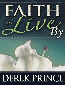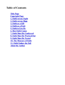# **Table of Contents**

**Title Page Copyright Page 1. Faith versus Sight 2. Faith versus Hope 3. Faith as a Gift 4. Faith as a Fruit 5. Faith to Live By 6. HowFaith Comes 7. Faith Must Be Confessed 8. Faith Must Be WorkedOut 9. Faith Must Be Tested 10. The Measure of Faith 11. Faith Undoes the Fall About the Author**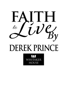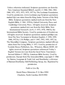Unless otherwise indicated, Scripture quotations are fromthe New American Standard Bible®, nasb®, © 1960, 1962, 1963, 1968, 1971, 1972, 1973, 1975, 1977 by The Lockman Foundation. Used by permission. (www.Lockman.org) Scripture quotations marked (kjv) are taken fromthe King James Version of the Holy Bible. Scripture quotations marked (neb) are fromthe New English Bible, © 1961, 1970 by Oxford University Press and Cambridge University Press. All rights reserved. Scripture quotations marked (niv) are fromthe Holy Bible, New International Version®, niv®, © 1973, 1978, 1984 by the International Bible Society. Used by permission of Zondervan. All rights reserved. Scripture quotations marked (phillips) are fromThe New Testament in Modern English, © 1958, 1959, 1960, 1972 by J. B. Phillips, and © 1947, 1952, 1955, 1957, by The Macmillan Company. Scripture quotations marked (tlb) are taken fromThe Living Bible, © 1971. Used by permission of Tyndale House Publishers, Inc., Wheaton, Illinois 60189. All rights reserved. Scripture quotations referenced Today's English Version (tev) are fromthe Good News Translation – Second Edition © 1992 by American Bible Society. Used by permission. Excerpt fromThe JerusalemBible, copyright © 1966 by Darton, Longman & Todd, Ltd. and Doubleday, a division of BantamDoubleday Dell Publishing Group, Inc. Reprinted by permission.

Faith to Live By

Derek Prince Ministries P. O. Box19501 Charlotte, North Carolina 28219-9501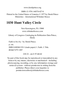www.derekprince.org

ISBN-13: 978-1-60374-427-0

Printed in the United States of America © 1977 by Derek Prince Ministries—International Whitaker House

# **1030 Hunt Valley Circle**

New Kensington, PA 15068 www.whitakerhouse.com

Library of Congress Cataloging-in-Publication Data Prince, Derek.

Faith to live by / by Derek Prince.

p. cm.

ISBN 0-88368-519-1 (trade paper) 1. Faith. I. Title. BV4637.P75 1997

234'.23 de21 97-46142

No part of this book may be reproduced or transmitted in any formor by any means, electronic or mechanical—including photocopying, recording, or by any information storage and retrieval system—without permission in writing from the publisher. Please direct your inquiries to permissionseditor@whitakerhouse.com.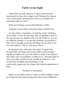# **Faith versus Sight**

Faith! Who can fully measure or express the potential represented by that short, simple word? Perhaps the clearest way to bring faith's potential into focus is to examine two statements made by Jesus:

With God all things are possible.(Matthew 19:26)

All things are possible to himwho believes.(Mark 9:23)

In each of these statements, we find the words "all things are possible." In the first passage, they are applied to God; in the second, they are applied to the one who believes. It is not too difficult, perhaps, to accept that all things are possible to God. Can we equally accept that all things are possible to the one who believes? This is what Jesus told us.

In practical terms, what does this mean? It means that, through faith, the things that are possible to God are made equally possible to the one who believes. Faith is the channel that makes God's possibilities available to us. Through faith, all that is possible to God becomes equally possible to us. No wonder that the Bible, frombeginning to end, consistently emphasizes the unique and supreme importance of faith.

Problems of Translation

Before we go further with our study, it will be helpful to clear up a linguistic misunderstanding that often causes difficulties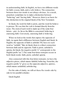in understanding faith. In English, we have two different words for faith: a noun, faith, and a verb, believe. The connection between these two words is not always obvious. As a result, preachers sometimes try to make a distinction between "believing" and "having faith." However, there is no basis for this distinction in the original Greek of the New Testament.

In Greek, the word for faith is pistis, and the word for believe is pisteuo. We see that the verb is formed directly fromthe noun. The stemof each word is made up of the same four letters—pist. As far as the Bible is concerned, believing is exercising faith. Conversely, exercising faith is believing.

When we look at the words that express the opposite of faith, we again find a difference between English and Greek. In English, the opposite of faith is unbelief. We have no such word as "unfaith." But, in Greek, there is a direct connection between faith and its opposite. Faith is pistis; unbelief is apistia. (In Greek, the negative prefix"a" corresponds to the English prefix"un.") The same four-letter stempist occurs in both Greek words: faith, pistis; unbelief, apistia.

Also connected with this four-letter stempist, we have the adjective pistos, which means faithful, believing. Fromthis, the negative prefix"a" gives us the opposite adjective, apistos, which means unfaithful, unbelieving.

For the sake of clarity, we will set these five words side by side in two parallel columns:

Greek English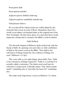Noun:pistis faith

Noun:apistia unbelief

Adjective:pistos faithful, believing

Adjective:apistos unfaithful, unbelieving

Verb:pisteuo believe

We see that all five Greek words are visibly linked by the stempist that occurs in each of them. Altogether, these five words occur almost sixhundred times in the original text of the New Testament. On this basis alone, it is clear that these words represent a theme that is central to the Bible's total revelation.

## Faith Defined

The eleventh chapter of Hebrews deals exclusively with the theme of faith. Its opening verse provides us with a definition of faith as the termis used in the Bible: "Now faith is the substance of things hoped for, the evidence of things not seen" (Hebrews 11:1 kjv).

This verse tells us two main things about faith. First, "faith is the substance of things hoped for." Faith is so real that it is actually called a substance. The Greek word used here for substance is hupostasis. It literally means "that which stands under" something else or "provides the basis for" something else.

The same word, hupostasis, occurs in Hebrews 1:3, where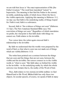we are told that Jesus is "the exact representation of His [the Father's] nature." The word here translated "nature" is hupostasis. The meaning is that God the Father is the eternal, invisible, underlying reality of which Jesus Christ the Son is the visible expression. Applying this meaning to Hebrews 11:1, we may say that faith is the underlying reality of things hoped for. Faith is real; faith is a substance.

Second, faith is "the evidence of things not seen" (Hebrews 11:1 kjv). The New American Standard Bible says,"the conviction of things not seen." Regardless of which translation we prefer, the vital point is that faith deals with things we cannot see. Faith relates to the invisible.

Two verses later, the writer again stressed faith's relationship to the invisible:

By faith we understand that the worlds were prepared by the word of God, so that what is seen was not made out of things which are visible.(Hebrews 11:3)

The writer here pointed out a contrast between the things that are seen and the things that are not seen, between the visible and the invisible. Our senses connect us to the visible world, to "what is seen." But faith takes us behind the visible to the invisible—to the underlying reality by which the whole universe was formed, that is, the reality of the Word of God.

Thus, faith relates to two eternal, invisible realities: to God Himself and to His Word. Biblical faith has only these two objects. In secular speech, of course, we speak of faith in many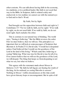other contexts. We can talk about having faith in the economy, in a medicine, or in a political leader. But faith is not used that way in the Bible. In Scripture, faith is related solely and exclusively to two realities we cannot see with the natural eye: to God and to God's Word.

# By Faith, Not by Sight

Paul brought out the opposition between faith and sight in 2 Corinthians 5:7: "For we walk by faith, not by sight." If we walk by sight, we do not need faith. If we walk by faith, we do not need sight. Each excludes the other.

This is contrary to our natural way of thinking. The world says, "Seeing is believing." But the Bible reverses the order: First we must believe, then we willsee. This principle is so important that we will look at some passages of Scripture that illustrate it. In Psalm27:13, David said, "I would have despaired unless I had believed that I would see the goodness of the Lord in the land of the living." Which came first, believing or seeing? Believing. What was true for David is true for all of us. If we cannot believe that we will see the goodness of the Lord. we will despair. The thing that keeps us fromdespairing is not what we see, but what we believe.

This agrees with the statement made about Moses in Hebrews 11:27: "By faith he left Egypt, not fearing the wrath of the king; for he endured, as seeing Himwho is unseen." Nothing in Moses' visible circumstances at this time could have given himany hope or encouragement. But in spite of all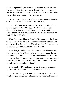that was against him, he endured because he was able to see the unseen. How did he do this? By faith. Faith enables us to see the unseen and thus enables us to endure when the visible world offers us no hope or encouragement.

Now we turn to the record of Jesus raising Lazarus fromthe dead in the eleventh chapter of John. We read,

Jesus said, "Remove the stone." Martha, the sister of the deceased, said to Him, "Lord, by this time there will be a stench, for he has been dead four days." Jesus said to her, "Did I not say to you, if you believe, you willsee the glory of God?"(John 11:39–40)

What Jesus asked here of Martha, He asks of all who desire to see the glory of God. We must believe that we willsee. We do not see first, then believe. We believe first; then, as a result of believing, we see. Faith comes before sight.

Here, then, is the basic conflict between the old nature and the new nature. The old nature demands to see, since the old nature lives by the senses. God has to deliver us fromthat old nature and that old way of life and bring us to a new nature and a new way of life. Then we willsay, "I amcontent not to see. I do not walk by sight, but by faith."

In the book of 2 Corinthians, we are challenged once more by the contrast between the visible and the invisible:

For momentary, light affliction is producing for us an eternal weight of glory far beyond all comparison, while we look not at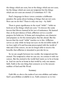the things which are seen, but at the things which are not seen; for the things which are seen are temporal, but the things which are not seen are eternal. (2 Corinthians 4:17–18)

Paul's language in these verses contains a deliberate paradox. He spoke about looking at things that are not seen. How can we do this? There is only one way—by faith!

There is great significance in the word "while": "while we look not at the things which are seen." It stresses the same lesson that Moses learned in his test of endurance. He learned that, in the providence of God, affliction serves a useful purpose for believers. It forms and strengthens our character and prepares us for the eternal glory that lies ahead. But the lesson that the word "while" teaches us is this: Affliction serves us only while we keep our eyes on the invisible realm. If we lose sight of it and become preoccupied with the world of time and of the senses, we are no longer able to receive the benefits that affliction is intended to provide for us.

So we are caught between two worlds: the temporal and the eternal. The temporal is what we can see; we contact it with our senses. But the eternal is the world God wants us to be at home in. And we can be at home in that world by only one means: faith. Faith is the one thing that connects us to the unseen realities of God and His Word.

#### Summary

Faith lifts us above the realmof our own abilities and makes God's possibilities available to us. Faith connects us to two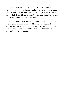unseen realities: God and His Word. As we maintain a relationship with God through faith, we are enabled to endure and to overcome the tests and the hardships that confront us in our daily lives. These, in turn, become opportunities for God to reveal His goodness and His glory.

There is an ongoing tension between faith and sight. Our old nature is at home in the world of the senses, and it demands to see. As Christians, we need to cultivate the new nature, which is able to trust God and His Word without demanding other evidence.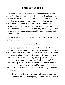# **Faith versus Hope**

In chapter one, we examined the difference between faith and sight—between believing and seeing. In this chapter, we will examine the difference between faith and hope. Herein lies one of the greatest sources of misunderstanding among Christians today. Many Christians are disappointed and frustrated with prayer because they do not receive what they think they should. Often it is because they are praying in hope, but not in faith. The results promised by God to faith are not promised to hope.

What is the difference between faith and hope? How can we tell themapart?

### Faith Is in the Heart

The first essential difference is that faith is in the heart, while hope is in the mind. In Romans 10:10, Paul said, "For with the heart man believeth unto righteousness" (kjv). True biblical faith originates in the heart. In this verse, it is expressed by the verb believe, and it is followed by the preposition "unto," indicating the result that it produces: "righteousness." The word unto implies motion or transition of some kind. Faith is never static. It always expresses itself in motion, change, and activity. A person who truly believes will be changed by what he believes.

On the other hand, a person who merely accepts truth with his intellect can remain unchanged by it. Mental acceptance of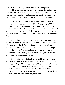truth is not faith. To produce faith, truth must penetrate beyond the conscious mind into the inner center and source of life, which is called the heart. Truth received intellectually by the mind may be sterile and ineffective, but truth received by faith into the heart is always dynamic and life-changing.

In Proverbs 4:23, Solomon warned us, "Watch over your heart with all diligence, for from it flow the springs of life." Everything that finally decides the course of our lives proceeds fromour hearts. True biblical faith proceeds fromthe heart and determines the way we live. It is not a mere intellectual concept, entertained by the mind; it is a real, active force at work in the heart.

However, God does not leave the mind without its proper provision. Faith at work in the heart produces hope in the mind. We see this in the definition of faith that we have already examined in Hebrews 11:1: "Faith is the substance of things hoped for" (kjv). Faith in the heart is the substance, the underlying reality. This provides a valid, scriptural basis for the hope that we entertain in our minds.

In 1 Thessalonians 5:8, Paul mentioned the different areas of our personalities that are affected by faith and those that are affected by hope: "But since we are of the day, let us be sober, having put on the breastplate of faith and love, and as a helmet, the hope of salvation." Faith and love are the breastplate, and the breastplate protects the heart. Hope is the helmet, and it protects the head, or the mind.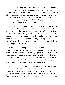In distinguishing faith fromhope, I do not mean to belittle hope. Hope, in the biblical sense, is a confident expectation of good—a steady, persistent optimism. Hope protects our minds. Every Christian should wear this helmet of hope twenty-four hours a day. If we lay aside the helmet and begin to dwell on negative thoughts and gloomy forebodings, our minds are vulnerable to Satan's subtle attacks.

True Christian optimismis not fanciful or unrealistic. It is not mere wishful thinking. Optimismmust be based firmly and exclusively on the statements and promises of Scripture. For example, in Romans 8:28, we are told, "And we know that God causes all things to work together for good to those who love God, to those who are called according to His purpose." If God is working all things together for our good, what roomis left for anything but optimism?

However, in applying this verse to our lives, we first need to make sure that we are meeting its conditions. Do we truly love God? Are we seeking to fulfill His purpose for our lives? If so, then God is working all things—every event, every situation together for our good. This leaves only one attitude of mind that we can logically adopt: optimism. In light of this, for a Christian to be a pessimist is, in fact, a denial of his faith.

This example confirms what has already been said: Faith is the only solid basis for hope. We must first truly believe what Romans 8:28 tells us: All things are working together for our good. If we believe this, we have no alternative but to hope. But if we do not believe this, then our hope has no solid basis.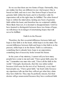So we see that there are two forms of hope. Outwardly, they are similar, but they are different in one vital respect: One is based on faith, and one is not. One formof hope is based on genuine faith within the heart, and it is therefore valid. Its expectation will, at the right time, be fulfilled. The other formof hope is within the mind alone, lacking any basis of genuine faith within the heart, and therefore has no scriptural validity. More likely than not, it is doomed to disappointment. Until we have learned to distinguish between these two forms of hope, we will always be in danger of entertaining hopes that will never be fulfilled.

# Faith Is in the Present

Therefore, the first essential difference between faith and hope is that faith is in the heart, while hope is in the mind. The second difference between faith and hope is that faith is in the present, while hope is in the future. Faith is a substance, something that is already here; hope is an expectation, something that of necessity looks toward the future.

In the years of my ministry, I cannot tell you how many people have come to me and said, "I have great faith; pray for me." I remember one man who said, "I have all the faith in the world." I thought, facetiously, that this was rather unfair because it left none for the rest of us! Seriously, every time I hear people say, "I have great faith," my heart sinks because my experience tells me that they will not get what they claim they have faith for. They may be perfectly sincere, but their desires will go unanswered because they have confused faith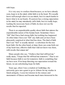with hope.

It is very easy to confuse thembecause, as we have already seen, hope is in the mind, while faith is in the heart. We usually know well enough what is in our minds, but it is much harder to know what is in our hearts. If a person has a strong expectation in his mind, he may mistakenly call it faith, but it is really hope. Lacking the necessary basis of faith, he does not see the results that he expected.

There is an unpredictable quality about faith that mirrors the unpredictable nature of the human heart. Sometimes I have "felt" that I have had strong faith, but nothing has happened. At other times I have not "felt" any faith and yet have been pleasantly surprised at what God has done. The kind of faith that I can "feel" is usually mental—a substitute for the true heart faith. On the other hand, at times there can come forth out of my heart true, effective faith that I did not know was there, with results that amaze me!

Many people who say, "I believe that God will heal me," really mean, "I hope that He will heal me tomorrow." That is not faith because faith is not for tomorrow; faith is something that we have now. If we keep directing our expectation toward the future, we are substituting hope for faith.

Years ago, when I was a student at Cambridge, the university gave me a grant to go to Athens for my studies in Greek antiquity. I soon lost interest in the statues and monuments of Greece and became much more interested in the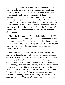people living in Greece. A friend fromthe university traveled with me, and every morning when we stepped outside our hotel, a group of shoeshine boys was waiting, determined to polish our shoes. If you have never traveled in a Mediterranean country, you have no idea how determined shoeshine boys can be. They will not take no for an answer. For the first two or three days, when we ventured outside our hotel, we tried saying, "Ochi!" throwing our heads backward with a scornful air at the same time. This is the Greek way of saying, "No!" But it simply did not work; the boys shined our shoes anyway.

About the fourth day my friend tried a different tactic. When we stepped outside our hotel, the boys approached us to shine our shoes, as usual. This time my friend looked themsquarely in the face and said, "Avrio." They hesitated for a moment, and we were able to pass. Can you guess what avrio means? It means "tomorrow"!

Years later, after I had become a Christian, I recalled this incident. It illustrates so vividly the way the devilsometimes cheats Christians. When we are seeking healing for ourselves, or praying for the salvation of unsaved loved ones, the devil does not flatly say we will not obtain what we are seeking. He does not say, "You will not be healed," or "Your loved one will not be saved." If he did that, we would not listen to him. Instead, he says, "Yes, you will obtain what you are seeking, but not today; tomorrow!" And so we never come to the moment of obtaining what we are seeking. We are willing to accept the devil's "Tomorrow" when we would never accept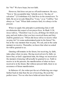his "No!" We have hope, but not faith.

However, God does not put us off until tomorrow. He says, "Now is 'the acceptable time,' behold, now is 'the day of salvation'" (2 Corinthians 6:2). God lives in the eternal now. To faith, He never reveals Himself as "I was," or as "I will be," but always as "I am." When faith contacts God, it is always in the present.

When we apply this principle to petitioning God, it will revolutionize this aspect of our prayer lives. In Mark 11:24, Jesus told us, "Therefore I say to you, all things for which you pray and ask, believe that you have received them, and they shall be granted you." When did Jesus tell us to receive what we pray for? At some undetermined point in the future? No, but at the very moment that we pray. We ask, and at the same moment we receive. Thereafter, we know that what we asked for will be granted to us.

Granting still remains in the future, but receiving, by faith, takes place when we pray. Having received now by faith, we know that, at God's appointed time, the things we received at the moment of praying will actually be granted to us. Faith to receive is in the present; the manifestation of what we have received is in the future. But without present faith, there is no assurance of future manifestation.

In Hebrews 4:3, the writer put the act of believing one stage further back in time than the act of receiving. He used the perfect tense: "For we who have believed enter that rest."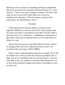Believing is here viewed as something already accomplished that does not need to be repeated. Having believed, we "enter that rest." There is no more struggle or anxiety. We know that what we have received by faith will in due course be manifested in experience. The receiving is our part of the transaction; the manifesting is God's.

#### Summary

Faith and hope are closely related, yet there are two important differences between them. First, faith springs from the heart, but hope is entertained in the mind. Second, faith is in the present; it is a substance—something we already have. But hope is directed toward the future; it is an expectation of things to come.

Hopes that are based on true faith within the heart will not be disappointed. However, without this basis, there is no assurance that our hopes will be fulfilled.

Hope is God's appointed protection for our minds, but it will not obtain for us those results that God has promised only to faith. The key to obtaining what we ask fromGod is to receive it by faith at the very moment we petition Him. Doing this sets us free fromcontinualstruggle and anxiety, and brings us into an inner rest.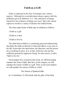# **Faith as a Gift**

Faith, as depicted in the New Testament, has various aspects. Although its essential nature always agrees with the definition given in Hebrews 11:1, "the substance of things hoped for, the evidence of things not seen" (kjv), this nature expresses itself in a variety of distinct but related forms.

The three main forms of faith may be defined as follows:

1.Faith as a gift

2.Faith as a fruit

3.Faith to live by

The third formof faith is a continuing personal relationship that links the believer directly to God and affects every area of his life. It provides the motivation, the direction, and the power for everything he does. It is, in fact, both the sole and the sufficient ground for righteous living. For this reason, I call it "faith to live by."

Fromchapter five onward in this book, we will thoroughly examine this formof faith. But first, in this chapter, we will examine the nature of faith as a gift. Then, in the next chapter, we will examine the nature of faith as a fruit.

The Nature of Spiritual Gifts

In 1 Corinthians 12, Paul dealt with the gifts of the Holy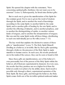Spirit. He opened the chapter with the statement, "Now concerning spiritual gifts, brethren, I do not want you to be unaware" (verse 1). Subsequently, he listed nine distinct gifts:

But to each one is given the manifestation of the Spirit for the common good. For to one is given the word of wisdom through the Spirit, and to another the word of knowledge according to the same Spirit; to another faith by the same Spirit, and to another gifts of healing by the one Spirit, and to another the effecting of miracles, and to another prophecy, and to another the distinguishing of spirits, to another various kinds of tongues, and to another the interpretation of tongues. But one and the same Spirit works all these things, distributing to each one individually just as He wills.(verses 7–11)

The key word that explains the distinctive nature of these gifts is "manifestation" (verse 7). The Holy Spirit Himself, dwelling in a believer, is invisible. But by these gifts operating through a believer, the presence of the Holy Spirit is made manifest to human senses. In each case, the results produced are in the realmof the senses; they can be seen or heard or felt.

Since these gifts are manifestations, not of the believer's own personality but of the person of the Holy Spirit within the believer, all of themare supernatural in character. In every case, the results that they produce are on a higher level than the believer could ever achieve by his ability alone. Each result is possible only through a direct, supernatural operation of the Holy Spirit. By these gifts, and through the believer, the Holy Spirit comes forth out of the invisible spiritual realmand makes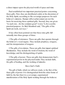a direct impact upon the physical world of space and time.

Paul established two important practical points concerning these gifts. First, they are distributed solely at the discretion of the Holy Spirit, according to His sovereign purposes for each believer's ministry. Human will or achievement are not the basis for receiving these spiritual gifts. Second, they are given "to each one…for the common good" (verse 7), for a useful, practical purpose. As Bob Mumford said, "The gifts of the Spirit are tools, not toys."

It has often been pointed out that these nine gifts fall naturally into three groups of three:

1.The gifts of utterance. These are gifts that operate through the believer's vocal organs. They include prophecy, tongues, and the interpretation of tongues.

2.The gifts of revelation. These are gifts that impart spiritual illumination. They include the word of wisdom, the word of knowledge, and the distinguishing of spirits.

3.The gifts of power. These are gifts that demonstrate God's supernatural power in the physical realm. They include faith, the gifts of healing, and the working of miracles.

# Have God's Faith

The gift of faith, which we will now study, is the first of the three gifts of power. It is distinguished fromthe other forms of faith by the fact that it is a sovereign, supernatural manifestation of the Holy Spirit working through the believer.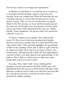The two key words are sovereign and supernatural.

In Matthew 21 and Mark 11, we read that Jesus, on His way to Jerusalemwith His disciples, came to a fig tree by the wayside. Jesus was seeking fruit. When He found that the tree contained only leaves, but no fruit, He pronounced a curse upon it, saying, "May no one ever eat fruit fromyou again!" (Mark 11:14). The next day, as Jesus and His disciples passed the same tree, the disciples were astonished to see that within twenty-four hours it had withered fromthe roots up. "Rabbi, behold," Peter commented, "the fig tree which You cursed has withered" (verse 21).

To Peter's comment, Jesus replied, "Have faith in God" (verse 22). This is how it has been translated into English. However, what Jesus actually said, in its most literal form, was, "Have God's faith." This statement highlights the special kind of faith we are speaking of here, that is, faith as a gift. Faith has its origin not in man, but in God. It is an aspect of God's own eternal nature. Through the gift of faith, the Holy Spirit imparts a portion of God's own faith, directly and supernaturally, to the believer. This is faith on a divine level, as high above mere human faith as heaven is above earth.

In saying, "Have God's faith," Jesus challenged His disciples to receive and exercise this kind of faith, just as He Himself had done. He went on to tell themthat with faith of this kind they would not only be able to do what they had seen Him do to the fig tree, but they would also be able to move a mountain by simply speaking: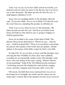Truly I say to you, if you have faith, and do not doubt, you shall not only do what was done to the fig tree, but even if you say to this mountain, "Be taken up and cast into the sea," it shall happen. (Matthew 21:21)

Jesus was not speaking merely to the disciples when He said, "If you have faith," for we see in Mark 11:23 that He used the word whoever, extending His promise to all believers:

Truly I say to you, whoever says to this mountain, "Be taken up and cast into the sea," and does not doubt in his heart, but believes that what he says is going to happen, it shall be granted him.

Jesus set no limit to the scope of this kind of faith. The phrases He used are all-inclusive: "Whoever says…what he says...shall be granted him." There is no restriction concerning the person who speaks or the words that are spoken. All that matters is the nature of the faith; it must be God's own faith.

In Luke 8:22–25, we see that, as Jesus and His disciples were crossing the Sea of Galilee in a boat, they were suddenly overtaken by an unnaturally violent storm. The disciples woke Jesus, who was asleep in the stern, saying, "Master, Master, we are perishing!" (Luke 8:24). The biblical record continues, "And being aroused, He rebuked the wind and the surging waves, and they stopped, and it became calm" (verse 24).

Obviously, the faith that Jesus exercised here was not on the human level. Normally, the winds and the waters are not under man's control. But at the moment of need, Jesus received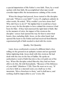a special impartation of His Father's own faith. Then, by a word spoken with that faith, He accomplished what man would consider impossible: the instantaneous calming of the storm.

When the danger had passed, Jesus turned to His disciples and said, "Where is your faith?" (verse 25, emphasis added). In other words, He asked, "Why couldn't you have done that? Why did I have to do it?" He implied that it would have been just as easy for the disciples to have calmed the stormas it had been for Him—if they had exercised the right kind of faith. But in the moment of crisis, the impact of the stormon the disciples' senses had opened the way for fear to enter their hearts, thus excluding faith. Jesus, on the other hand, had opened His heart to the Father and had received fromHimthe supernatural gift of faith needed to deal with the storm.

## Quality, Not Quantity

Later, Jesus confronted a stormof a different kind: a boy rolling on the ground in an epileptic seizure and an agonized father imploring help. Jesus dealt with this stormas He had dealt with the one on the Sea of Galilee. He spoke an authoritative word of faith that drove the evilspirit out of the boy. When His disciples asked Himwhy they had not been able to do this, He told themplainly, "Because of the littleness of your faith" (Matthew 17:20). Then He went on to say, "If you have faith as a mustard seed, you shallsay to this mountain, 'Move fromhere to there,' and it shall move; and nothing shall be impossible to you" (verse 20).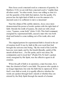Here Jesus used a mustard seed as a measure of quantity. In Matthew 13:32, we are told that a mustard seed is "smaller than all other seeds." In other words, Jesus was telling us that it is not the quantity of the faith that matters, but the quality. If a person has the right kind of faith in even the amount of a mustard seed, it is sufficient to move a mountain!

Near the climaxof His earthly ministry, Jesus once more demonstrated the power of words spoken with the right kind of faith. Outside the tomb of Lazarus. He cried out with a loud voice, "Lazarus, come forth" (John 11:43). This brief command, energized by supernatural faith, caused a man who was both dead and buried to come walking out of his tomb, alive and well.

The original pattern for supernatural faith is found in the act of creation itself. It was by faith in His own word that God brought the universe into being. "By the word of the Lord the heavens were made, and by the breath [literally, spirit] of His mouth all their host.…For He spoke, and it was done; He commanded, and it stood fast" (Psalm33:6, 9). God's spoken word, energized by His Spirit, was the effective agent in all creation.

When the gift of faith is in operation, a man becomes, for a time, the channel of God's own faith. The person who speaks is no longer important, but only the faith that is expressed. If it is God's own faith at work, it is equally effective whether the words are spoken through God's mouth or whether they are uttered by the Holy Spirit through the mouth of a human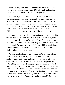believer. As long as a believer operates with this divine faith, his words are just as effective as if God Himself had spoken them. It is the faith that matters, not the person.

In the examples that we have considered up to this point, this supernatural faith was expressed through a spoken word. By a spoken word, Jesus caused the fig tree to wither. By a spoken word. He calmed the storm, cast the evil spirit out of the epileptic boy, and called Lazarus out of the tomb. In Mark 11:23, Jesus said this about any word spoken in faith: "Whoever says…what he says…shall be granted him."

Sometimes a word spoken in prayer becomes the channel for the gift of faith. In James 5:15, we are told that "the prayer of faith shall save [or, restore] the sick" (kjv). There is no room left for doubt about the effect of a prayer of faith. Its results are guaranteed. Prayer prayed with God-given faith is irresistible. Neither sickness nor any other condition that is contrary to God's will can stand against it.

As an example of someone who prayed "the prayer of faith," James referred to Elijah. By his prayer, Elijah withheld all rain for three and a half years, and then caused rain to fall again. (See James 5:17–18.) Scripture indicates that the giving and withholding of rain is a divine prerogative, exercised by God Himself. (See, for example, Deuteronomy 11:13–17 and Jeremiah 5:24; 14:22.) Yet, for three and a half years, Elijah exercised this prerogative on God's behalf. James emphasized that Elijah was "a man with a nature like ours" (James 5:17)—a human being just like the rest of us. But as long as he was enabled to pray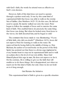with God's faith, the words he uttered were as effective as God's own decrees.

However, faith of this kind does not need to operate through a spoken word only. It was by this same kind of supernatural faith that Jesus was able to walk on the stormy Sea of Galilee. (See Matthew 14:25–33.) In this case, He did not need to speak; He merely walked out onto the water. Peter began to follow the example of Jesus and to exercise the same kind of faith. This enabled himto do precisely the same thing that Jesus was doing. But when he looked away fromJesus to the waves, his faith deserted him, and he began to sink!

The comment that Jesus made is very illuminating: "O you of little faith, why did you doubt?" (Matthew 14:31). Jesus did not reprove Peter for wanting to walk on the water. He reproved himfor losing faith in the middle of doing so. Don Basham, the author of several books on the power of the Holy Spirit, has pointed out that there is a divine urge implanted in every human heart to step out in supernatural faith and to walk on a plane above the level of our own ability. Since God Himself placed this urge in man, He does not reprove us for it. On the contrary, He is willing to give us the faith that will enable us to do these things. He is disappointed, not when we reach out for this kind of faith, but only when we do not hold on to it long enough.

## God Retains the Initiative

This supernatural kind of faith is given in a specific situation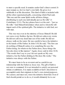to meet a specific need. It remains under God's direct control. It must remain so, for it is God's own faith. He gives it or withholds it at His discretion. This kind of faith is included with all the other supernatural gifts, concerning which Paulsaid, "But one and the same Spirit works all these things, distributing to each one individually just as He wills" (1 Corinthians 12:11). The key phrase here is at the end—"just as He wills." God Himself determines when and to whomHe will impart each of the spiritual gifts. The initiative is with God, not with man.

This was true even in the ministry of Jesus Himself. He did not curse every fruitless fig tree. He did not calmevery storm. He did not call every dead man out of his tomb. He did not always walk on the water. He was careful to leave the initiative in the hands of His Father. In John 5:19, He said, "The Son can do nothing of Himself, unless it is something He sees the Father doing; for whatever the Father does, these things the Son also does in like manner." Again, Jesus said in John 14:10, "The words that I say to you I do not speak on My own initiative, but the Father abiding in Me does His works." The initiative was always with the Father.

We must learn to be as reverent and as careful in our relationship with the Father as Jesus was. The gift of faith is not ours to command. It is not intended to satisfy our personal whims or ambitions. It is made available at God's discretion to accomplish ends that originate in God's own eternal purposes. We cannot, and must not, wrest the initiative from God. Even if God should permit us to do so, it would ultimately be to our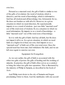own loss.

Pictured as a mustard seed, the gift of faith is similar to two of the gifts of revelation: the word of wisdom, which is directive, and the word of knowledge, which is informative. God has all wisdomand all knowledge, but, fortunately for us, He does not burden us with all of it. However, in a given situation in which we need direction, He supernaturally imparts to us a word of wisdom—just one little "mustard seed" out of His totalstore of wisdom. Or, in a situation in which we need information, He imparts to us a word of knowledge—a little "mustard seed" out of His totalstore of knowledge.

So it is with the gift of faith. God has all faith, but He does not impart it all to us. In a given situation, in which we need faith on a higher level than our own, God imparts to us a "mustard seed" of faith out of His own totalstore. Once the special need has been met, God withdraws His faith, and we are left once again to exercise our own.

## Equipment for Evangelism

As we saw earlier, the gift of faith is associated with the other two gifts of power: the gifts of healing and the working of miracles. In practice, the gift of faith often serves as a catalyst to bring the other two gifts into operation. This is illustrated by the ministry of Philip in Samaria, as described in the book of Acts:

And Philip went down to the city of Samaria and began proclaiming Christ to them. And the multitudes with one accord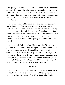were giving attention to what was said by Philip, as they heard and saw the signs which he was performing. For in the case of many who had unclean spirits, they were coming out of them shouting with a loud voice; and many who had been paralyzed and lame were healed. And there was much rejoicing in that city.(Acts 8:5–8)

In the first phase of his ministry, Philip cast out evilspirits. As we have seen fromthe example of Jesus, as recorded in Matthew 17:14–21 and elsewhere, evil spirits were cast out by the spoken word through the exercise of the gift of faith. In the second phase of Philip's ministry, the other two gifts of power, miracles and healings, came into operation. As a result, miracles were performed and the paralyzed and the lame were healed.

In Acts 21:8, Philip is called "the evangelist." Only two patterns of the ministry of an evangelist are presented to us in the New Testament: that of Jesus Himself and that of Philip. In each case, there was a strong emphasis on the casting out of evilspirits, which was followed by miracles and healings. The three gifts of power—faith, miracles, and healings—together constitute the supernatural equipment that is endorsed by the New Testament for the ministry of an evangelist.

#### Summary

The gift of faith is one of nine gifts of the Holy Spirit listed by Paul in 1 Corinthians 12:7–11. Each of these gifts is a supernatural manifestation of the Holy Spirit, who dwells in a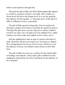believer and operates through him.

Through the gift of faith, the Holy Spirit temporarily imparts to a believer a portion of God's own faith. This is faith on a divine level, far above the human level. It is not the quantity that matters, but the quality. A "mustard seed" of this kind of faith is sufficient to move a mountain.

The gift of faith operates frequently, but not exclusively, through a spoken word. Such a word may be spoken in prayer. Through this gift, Jesus caused a fig tree to wither, calmed a stormat sea, drove an evilspirit out of an epileptic boy, called Lazarus out of his tomb, and walked on the stormy waves.

God has implanted in man an urge to exercise this kind of faith. Therefore, He does not reprove us for doing so. Rather, He is disappointed if we let go of it too soon. However, as in the ministry of Jesus, the initiative must always be left with God.

The gift of faith can serve as a catalyst for the related gifts of healings and miracles. These three gifts combined are the equipment endorsed by the New Testament for the ministry of an evangelist.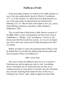# **Faith as a Fruit**

In the preceding chapter, we looked at how faith operates as one of the nine spiritual gifts listed by Paul in 1 Corinthians 12:7–11. In this chapter, we will look at how faith functions as one of the nine forms of spiritual fruit that Paul listed in Galatians 5:22–23: "But the fruit of the Spirit is love, joy, peace, longsuffering, gentleness, goodness, faith, meekness, temperance" (kiv).

The seventh formof fruit listed is faith. Recent versions of the Bible offer a variety of translations for this word, such as "faithfulness," "fidelity," and "trustfulness." However, the Greek noun that Paul used here is pistis. As we saw in chapter one, this is the basic word used for faith throughout the New Testament.

Before we begin to study this particular formof fruit, it will be helpful first to consider the relationship between gifts and fruit in general. What is the difference?

# Gifts versus Fruit

One way to bring the difference into focus is to picture a Christmas tree and an apple tree side by side. I amtalking about a Christmas tree on which presents are tied. It is a common practice in some places to tie gifts onto the Christmas tree, instead of placing themunder the tree. In this way, a Christmas tree "bears" gifts, while an apple tree bears fruit.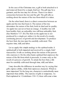In the case of the Christmas tree, a gift is both attached to it and removed fromit by a single, brief act. The gift may be a garment, and the tree may be a fir tree. There is no direct connection between the tree and the gift. The gift tells us nothing about the nature of the tree fromwhich it is taken.

On the other hand, there is a direct connection between an apple and the tree that bears it. The nature of the tree determines the nature of the fruit, both its kind and its quality. An apple tree can never bear an orange. A healthy tree will bear healthy fruit; an unhealthy tree will bear unhealthy fruit. (See Matthew 7:17–20.) The fruit on the apple tree is not produced by a single act; rather, it is the result of a steady, continuing process of growth and development. To produce the best fruit, the tree must be carefully cultivated. This requires time, skill, and labor.

Let us apply this simple analogy to the spiritual realm. A spiritual gift is both imparted and received by a single, brief transaction. It tells us nothing about the nature of the person who exercises it. On the other hand, spiritual fruit expresses the nature of the life fromwhich it proceeds; it comes only as the result of a process of growth. To attain the best fruit, a life must be carefully cultivated through time, skill, and labor.

I may describe the difference in another way by saying that gifts express ability, while fruit expresses character. Which is more important? In the long run, character is undoubtedly more important than ability. The exercise of gifts is temporary. As Paul explained in 1 Corinthians 13:8–13, there will come a time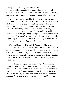when gifts will no longer be needed. But character is permanent. The character that we develop in this life will determine what we will be throughout eternity. We will one day leave our gifts behind; our character will be with us forever.

However, we do not need to choose one at the expense of the other. Gifts do not exclude fruit; fruit does not exclude gifts. Rather, they are intended to complement each other. Gifts should provide practical expression for character, just as they did perfectly in the person of Jesus Himself. His loving, gracious character was expressed by the fullest possible exercise of spiritual gifts. Only through the gifts could He meet the needs of the people to whom He had come to minister, fully expressing to themthe nature of His heavenly Father whomHe had come to represent. (See John 14:9–10.)

We should seek to follow Christ's pattern. The more we develop the attributes that characterized Jesus—love, concern, and compassion—the more we will need the same gifts that He exercised in order to give practical expression to these attributes. The more fully we are equipped with these gifts, the greater our ability will be to glorify God our Father, just as Jesus did.

Fruit, then, is an expression of character. When all nine forms of spiritual fruit are present and fully developed, they represent the totality of Christian character, each formof fruit satisfying a specific need and each complementing the rest. Within this totality, the fruit of faith may be viewed fromtwo aspects. These two aspects correspond to two different but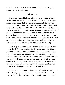related uses of the Greek word pistis. The first is trust; the second is trustworthiness.

# Faith as Trust

The first aspect of faith as a fruit is trust. The Jerusalem Bible translates pistis as "trustfulness." Over and over again, Jesus emphasized that one of the requirements for all who would enter the kingdomof God is to become like a little child. (See Matthew 18:1–3; 19:13–14; Mark 10:13–15; Luke 18:15–17.) There is probably no quality more distinctively characteristic of childhood than trustfulness. And yet, paradoxically, it is a quality that is seen at its perfection in the most mature men of God—men such as Abraham, Moses, David, and Paul. We may conclude, therefore, that the degree to which we cultivate trustfulness is a good measure of our spiritual maturity.

More fully, the fruit of faith—in this aspect of trustfulness —may be defined as a quiet, steady, unwavering trust in the goodness, wisdom, and faithfulness of God. No matter what trials or seeming disasters may be encountered, the person who has cultivated this formof fruit remains calmand restful in the midst of themall. He has an unshakable confidence that God is still in complete control of every situation and that, in and through all circumstances, God is working out His own purpose of blessing for each one of His children.

The outward expression of this kind of trust is stability. This is beautifully pictured by David in Psalm125:1: "Those who trust in the Lord are as Mount Zion, which cannot be moved,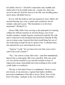but abides forever." All earth's mountains may tremble and shake and even be totally removed—except one. Zion can never be moved. God has chosen it for His own dwelling place, and it alone will abide forever.

So it is with the believer who has learned to trust. Others all around himmay give way to panic and confusion, but he remains calmand secure. "His foundation is in the holy mountains" (Psalm87:1).

About 1960, while I was serving as the principal of a training college for African teachers in western Kenya, one of our women students, named Agneta, contracted typhoid. My wife and I visited her in the hospital and found her critically ill. She was in a deep coma. I prayed that God would bring her out of the coma long enough for me to speak to her. A moment later, she opened her eyes and looked up at me.

"Agneta," I said, "do you know for sure that your soul is safe in the Lord's hands?"

"Yes," she said in a clear, firmvoice—and then immediately lapsed into a coma again. But I was satisfied. That one word yes was allshe needed to say and all I needed to hear. It expressed a deep, untroubled trust that nothing in this world could shake or overthrow.

The key to this kind of trust is commitment. About a year previously, in my presence, Agneta had made a definite, personal commitment of her life to Jesus Christ. Now, in the hour of testing—perhaps at the very threshold of eternity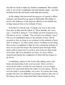she did not need to make any further commitment. She needed only to rest in the commitment she had already made—one that included both life and death, both time and eternity.

In His timing, God answered the prayers of Agneta's fellow students and raised her up again to full health. Her ability to receive the influence of the prayers offered on her behalf was in large measure due to her attitude of trust.

In Psalm37:5, David said, "Commit your way to the Lord, trust also in Him, and He will do it." More literally, the verse says, "And He is doing it." Two things are here required of us. The first is an act: "commit." The second is an attitude: "trust." The act of commitment leads to the attitude of trust. David assured us that, as long as we continue in this attitude of trust, God "is doing it." In other words, God is working out the thing that we have committed to Him. It is the continuing attitude of trust on our part that keeps the channel open through which God is able to intervene in our lives and work out what needs to be done. But if we abandon our trust, we close off the channel and hinder the completion of what God has begun to do for us.

Committing a matter to the Lord is like taking cash to the bank and depositing it into your account. Once you have received the teller's receipt for your deposit, you no longer need to be concerned about the safety of your money. That is now the bank's responsibility, not yours. It is ironic that some people who have no difficulty in trusting a bank to take care of the money they have deposited find it much harder to trust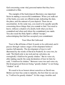God concerning some vital, personal matter that they have committed to Him.

The example of the bank deposit illustrates one important factor in making a successful commitment. When you walk out of the bank, you carry an official receipt, indicating the date, the place, and the amount of your deposit. There are no uncertainties. In the same way, you need to be equally specific concerning those things that you commit to God. You need to know, without a shadow of a doubt, both what you have committed and when and where the commitment was made. You also need the Holy Spirit's official "receipt," acknowledging that God has accepted your commitment.

# Trust Must Be Cultivated

Trust is like all forms of fruit: It needs to be cultivated, and it passes through various stages of development before it reaches full maturity. The development of trust is well illustrated by the words of David in Psalm62. In verse two, he said, "He [God] only is my rock and my salvation, my stronghold; I shall not be greatly shaken." But in verse six, after making exactly the same declaration of trust in God, he said, "I shall not be shaken." Between verse two and verse six, David progressed fromnot being "greatly shaken" to not being "shaken" at all.

We need to be as honest about ourselves as David was. Before our trust has come to maturity, the best that we can say is, "I will not be greatly shaken!" At this stage, troubles and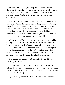opposition willshake us, but they will not overthrow us. However, if we continue to cultivate our trust, we will come to the stage where we can say, "I will not be shaken at all!" Nothing will be able to shake us any longer—much less overthrow us.

Trust of this kind is in the realmof the spirit rather than the emotions. We may turn once more to the personal testimony of David for an illustration. In Psalm56:3, he said to the Lord, "When I amafraid, I will put my trust in Thee." Here David recognized two conflicting influences at work in himself simultaneously: fear and trust. However, fear is superficial, in the emotions; trust is deeper down, in the spirit.

Mature trust is like a deep, strong river relentlessly making its way to the sea. At times, the winds of fear or doubt may blow contrary to the river's course and whip up foaming waves on its surface. But these winds and waves cannot change or hinder the deep, continuing flow of the waters below the surface. They follow the path marked out for themby the riverbed to their predetermined destination in the sea.

Trust, in its full maturity, is beautifully depicted by the following words of Paul:

For this reason I also suffer these things, but I amnot ashamed; for I know whomI have believed and I amconvinced that He is able to guard what I have entrusted to Himuntil that day. (2 Timothy 1:12)

By all worldly standards, Paul at this stage was a failure.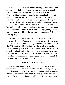Some of his most influential friends and supporters had turned against him. Of all his close coworkers, only Luke remained with him. One of his coworkers, Demas, had actually abandoned himand turned back to the world. Paul was weak and aged, a chained prisoner in a Roman jail, awaiting unjust trial and execution at the hands of a cruel, depraved despot. Yet his words ring with serene, unshakable confidence: "I am not ashamed…I know…I have believed…I amconvinced." Beyond the horizon of time, he looked forward to an unclouded day—"that day"—the day when another judge, the righteous Judge, would award him"the crown of righteousness" (2 Timothy 4:8).

As it was with David, so it was with Paul: Trust was the outcome of an act of commitment. His commitment is expressed in his own words: "He is able to guard what I have entrusted to Him" (2 Timothy 1:12). Trusting was the result of entrusting. Years previously, Paul had made an irrevocable commitment of himself to Christ. Out of this, subsequent trials and sufferings gradually brought forth an ever deepening trust that had now come to its full fruition in a Roman dungeon, its radiance all the brighter in contrast to its gloomy setting.

# Faith as Trustworthiness

Now we will examine the second aspect of faith as a fruit: trustworthiness. Linguistically, "trustworthiness" is, in fact, the original meaning of pistis. In Arndt and Gingrich's standard lexicon of New Testament Greek, the first specific definition given of pistis is "faithfulness, reliability." If we go back to the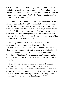Old Testament, the same meaning applies to the Hebrew word for faith—emunah. Its primary meaning is "faithfulness"; its secondary meaning is "faith." The verb fromwhich it is derived gives us the word amen—"so be it," "let it be confirmed." The root meaning is "firm, reliable."

Both meanings alike—trust and trustworthiness—converge in the person and nature of God Himself. If we view faith as trust, its only ultimate basis is God's trustworthiness. If we view faith as trustworthiness, it is only through our trust that the Holy Spirit is able to impart to us God's trustworthiness. God Himself is both the beginning and the end of faith. His trustworthiness is the only basis for our trust; our trust in Him reproduces His trustworthiness in us.

Probably no attribute of God is more persistently emphasized throughout the Scriptures than His trustworthiness. In the Old Testament, there is one special Hebrew word reserved for the attribute: chesed. In the English versions of the Bible, this word is variously translated "goodness," "kindness," "lovingkindness," "mercy," and so on. However, not one of these translations fully expresses its meaning.

There are two distinctive features of God's chesed, or trustworthiness. First, it is the expression of God's free, unmerited grace. It goes beyond anything that man can ever deserve or demand as a right. Second, it is always based on a covenant that God voluntarily enters into. We may combine these two features by saying that chesed is God's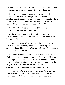trustworthiness in fulfilling His covenant commitments, which go beyond anything that we can deserve or demand.

Thus, we find a close connection between the following three important Hebrew concepts: emunah, faith or faithfulness; chesed, God's trustworthiness; and berith, which means "a covenant." These three Hebrew words forma recurrent theme in a series of verses in Psalm89:

And My faithfulness [emunah] and My lovingkindness [chesed] will be with him. (verse 24)

My lovingkindness [chesed] I will keep for himforever, and My covenant [berith] shall be confirmed [aman, or amen] to him. (verse 28)

But I will not break off My lovingkindness [chesed] from him, nor deal falsely in My faithfulness [emunah]. My covenant [berith] I will not violate, nor will I alter the utterance of My lips.(verses 33–34)

This last verse brings out a special relationship between God's trustworthiness and the words of His mouth. There are two things God will never do: break His covenant or go back on what He has said. God's trustworthiness, imparted by the Holy Spirit, will reproduce the same characteristic in us. It will make us people of unfailing integrity and honesty.

In Psalm15:1, David asked two questions: "O Lord, who may abide in Thy tent? Who may dwell on Thy holy hill?" In the verses that follow, he answered his own questions by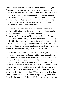listing eleven characteristics that mark a person of integrity. The ninth requirement is listed at the end of verse four: "He swears to his own hurt, and does not change." God expects the believer to be true to his commitments, even at the cost of personalsacrifice. The world has its own way of saying this: "A man is as good as his word." A Christian who does not honor his word and keep his commitments has not yet developed the fruit of trustworthiness.

While God requires this kind of trustworthiness in our dealings with all men, we have a special obligation toward our fellow Christians. God's own trustworthiness (chesed) is based, as we have seen, on His covenant (berith). Through Jesus Christ, He has brought us into a covenant relationship both with Himself and with other believers. The distinguishing mark of this relationship is that we exhibit, both toward God and toward our fellow believers, the same trustworthiness that God has so richly and freely demonstrated toward us.

We have already seen that God's chesed, expressed in His covenant commitments, is based on His grace, going beyond anything that we, who are its recipients, can ever deserve or demand. This grace, too, will be reflected in our covenant relationships with our fellow believers. We will not limit ourselves to the mere requirements of justice or of some legal formof contract. We will be ready to make the full commitment that God made in establishing His covenant with us: to lay down our lives for one another. "We know love by this, that He laid down His life for us; and we ought to lay down our lives for the brethren" (1 John 3:16). It is by the laying down of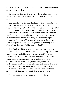our lives that we enter into full covenant relationship with God and with one another.

Scripture paints a fearful picture of the breakdown of moral and ethical standards that will mark the close of the present age:

You must face the fact: the final age of this world is to be a time of troubles. Men will love nothing but money and self; they will be arrogant, boastful, and abusive; with no respect for parents, no gratitude, no piety, no natural affection; they will be implacable in their hatreds, scandal-mongers, intemperate and fierce, strangers to all goodness, traitors, adventurers, swollen with self-importance. They will be men who put pleasure in the place of God, men who preserve the outward formof religion, but are a standing denial of its reality. Keep clear of men like these.(2 Timothy 3:1–5 neb)

The Greek word that is here translated as "implacable in their hatreds" is defined in Thayer's lexicon as denoting "those who cannot be persuaded to enter into a covenant." The whole trend of this world will be—indeed, already is—away from those moral and ethical characteristics that a covenant demands. As the world thus plunges deeper into darkness, God's people must, by contrast, be more determined than ever to walk in the light of fellowship. We must show ourselves both willing and qualified to enter into and maintain those covenant relationships on which fellowship depends.

For this purpose, we will need to cultivate the fruit of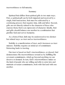trustworthiness to full maturity.

#### Summary

Spiritual fruit differs fromspiritual gifts in two main ways. First, a spiritual gift can be both imparted and received by a single, brief transaction; fruit must be cultivated by a continuing process that requires time, skill, and labor. Second, gifts are not directly related to the character of those who exercise them; fruit is an expression of character. Ideally, fruit and gifts should balance one another in a combination that glorifies God and serves humanity.

As a formof fruit, faith may be understood in two distinct but related ways: as trust and as trustworthiness.

Stability is a manifestation of trust, and it increases as trust matures. Stability requires an initial act of commitment. Entrusting leads to trusting.

Our trust is based on God's trustworthiness, or chesed. God demonstrates His trustworthiness toward us by fulfilling His covenant commitments, which go beyond anything we can deserve or demand. In turn, God's trustworthiness makes us the kind of people who are willing and able to enter into and maintain covenant commitments, both with God and with one another.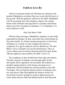# **Faith to Live By**

About sixcenturies before the Christian era, God gave the prophet Habakkuk a revelation that was to provide the basis of the gospel: "But the righteous will live by his faith" (Habakkuk 2:4). So accurately does this prophecy express the central theme of the Christian message that it is actually stated three times in the New Testament: in Romans 1:17, in Galatians 3:11, and in Hebrews 10:38.

# Only One Basis: Faith

Of these three passages, Habakkuk's prophecy is most fully expounded in Romans. In fact, it provides the central theme for the entire epistle. To obtain a proper perspective on the book of Romans as a whole, we may compare the book to a symphony by a great composer such as Beethoven. The first fifteen verses of chapter one are the introduction. Then, in verses sixteen and seventeen, Paul presented the main theme: "But the righteous man shall live by faith" (verse 17).

The symphony is then divided into three main movements. The first consists of chapters one through eight. In this movement, Paul's approach was doctrinal. He worked out a detailed, logical analysis of his theme, showing how it harmonizes with the prophecies and the patterns of the Old Testament. The second movement consists of chapters nine, ten, and eleven. Here Paul applied his theme to Israel. He showed how Israel's attempt to achieve righteousness by works rather than by faith had blinded themto their Messiah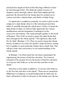and had thus deprived themof the blessings offered to them by God through Christ. The third movement consists of chapters twelve through sixteen. Here Paul emphasized the practical. He showed how his theme must be worked out in various activities, relationships, and duties of daily living.

To appreciate a symphony properly, we need to pick out the composer's main theme when it is first introduced and then follow it carefully through the whole piece. Unless we keep the main theme in mind, we will not fully appreciate the various modifications and developments it undergoes in the successive movements. The same principle applies to the book of Romans. First of all, we need to grasp the main theme that runs throughout the whole epistle: "The righteous man shall live by faith" (Romans 1:17). Then we need to keep this theme always in mind as we study the epistle's main divisions, noting how it applies to each particular subject that is dealt with. This will give unity and consistency to our understanding of the whole epistle.

In Romans 1:16, Paulstated the one basic requirement for experiencing the power of God for salvation: "For I amnot ashamed of the gospel, for it is the power of God for salvation to everyone who believes, to the Jew first and also to the Greek<sup>"</sup>

Salvation is here made available to "everyone who believes, to the Jew first and also to the Greek." There are no exceptions. Differences of religious or racial background are irrelevant. In God's all-inclusive offer of salvation to the human race, He has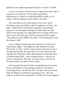laid down one simple requirement that never varies. It is faith.

In verse seventeen, Paul went on to explain how this truth of salvation can be known: "For in it [the gospel] the righteousness of God is revealed fromfaith to faith; as it is written, 'But the righteous man shall live by faith.'"

The word faith occurs three times in this verse. God's revelation comes fromfaith to faith. It originates in God's own faith—faith that His word will accomplish its preordained purpose. It is transmitted through the faith of the one who delivers the message. It is appropriated by the faith of the one who receives the message. And the message itself is, again. "The righteous man shall live by faith." Frombeginning to end, the theme is faith.

Let us examine the message more closely. It could not be stated more simply: "The righteous man shall live by faith." Obviously, to "live," in this context, means more than to have normal, physical life. We know that even the wicked and the ungodly have that kind of life. But Scripture reveals that there is another kind of life—a life of righteousness—that has its source in God alone. The only way that anyone can receive this kind of life is by faith in Jesus Christ.

In his gospel, the apostle John continually focused on this divine, eternal life. At the opening, in John 1:4, he told us concerning Jesus, "In Himwas life." In John 3:36, he recorded John the Baptist's testimony concerning Jesus: "He who believes in the Son has eternal life." In John 6:47, Jesus Himself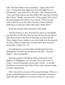said, "He who believes has eternal life." Again, John 10:10 says, "I came that they might have life, and might have it abundantly." And John 10:27–28 states, "My sheep hear My voice, and I know them, and they follow Me; and I give eternal life to them." Finally, near the close of his gospel, John stated the main purpose for which it was written: "That you may believe that Jesus is the Christ, the Son of God; and that believing you may have life in His name" (John 20:31).

In his first epistle, John returned to this theme:

And the witness is this, that God has given us eternal life, and this life is in His Son. He who has the Son has the life; he who does not have the Son of God does not have the life. These things I have written to you who believe in the name of the Son of God, in order that you may know that you have eternal life. (1 John 5:11–13)

It is important to see that John used the present tense throughout. "He who has the Son has the life." "You who believe…have eternal life."

Paul also spoke of this life in Christ in brief and vivid phrases. In Philippians 1:21, he said, "For to me, to live is Christ." And in Colossians 3:4, he said, "Christ…is our life." For Paul, as it was for John, life in Christ was a present reality, not just a future hope.

This, then, is the essence of the gospel message. There is a divine, eternal life that has its source in God alone. God has made this life available to us in Jesus Christ. As we receive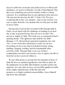Jesus by faith into our hearts and yield our lives to Himin full obedience, we receive in Himthe very life of God Himself. This life is not something reserved for another world or a future existence. It is something that we can experience here and now. "He who has the Son has the life" (1 John 5:12). We have everlasting life at this very moment—and on into eternity. It is ours to enjoy fromthe very moment that we truly put our faith in Jesus Christ.

Having thus received this new kind of life through faith in Christ, we are faced with the challenge of working it out from day to day in practical living. How are we to do this? The answer is simple: by faith. This truth, too, is contained in Paul's opening theme: "The righteous man shall live by faith" (Romans 1:17). Viewed from a practical standpoint, the verb "live" is one of the most all-inclusive words we can use. Everything we do at any time is included in living: eating, drinking, sleeping, working, and the innumerable other activities of life. Through faith, every one of these commonplace activities can become a way to express the life of God that we have received within us.

We are often prone to assume that the mundane actions of daily life have no spiritual significance and offer no place for the application of our faith. But Scripture actually teaches the opposite. It is only after we have successfully applied our faith in the simple, material areas of life that God will promote us to higher spiritual responsibilities. Jesus Himself laid down this principle: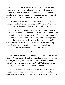He who is faithful in a very little thing is faithful also in much; and he who is unrighteous in a very little thing is unrighteous also in much. If therefore you have not been faithful in the use of unrighteous mammon [money], who will entrust the true riches to you?(Luke 16:10–11)

Only after we have made our faith work in the "very little thing[s]," and in the area of money, will God entrust to us the greater responsibilities and the true spiritual riches.

Therefore, in examining how we can work out our faith in daily living, we will consider two practical, down-to-earth areas: food and finance. Frommany years of personal observation, I have concluded that a believer who has learned to apply his faith in these two areas is likely to be leading a successful Christian life. On the other hand, if a person has not brought these basic areas under God's control, it is usually an indication that his whole life needs to be adjusted.

# Eating fromFaith

I have stated already that the third movement of the book of Romans' symphony, which begins at chapter twelve, focuses on the practical application of our faith. What does it start with? Something remote or ethereal? No! On the contrary, it begins, in the very first verse, with our bodies:

I urge you therefore, brethren, by the mercies of God, to present your bodies a living and holy sacrifice, acceptable to God, which is your spiritual service of worship.(Romans 12:1)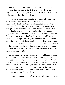Paul told us that our "spiritual service of worship" consists of presenting our bodies to God. In other words, to be "spiritual" is to be very practical and down-to-earth. It begins with what we do with our bodies.

Fromthis starting point, Paul went on to deal with a variety of practical issues related to the Christian life. In chapter fourteen, he dealt with the issue of food. (Obviously, there is no issue of greater importance to our physical bodies than this!) He wrote about two types of believers: "One man has faith that he may eat all things, but he who is weak eats vegetables only" (Romans 14:2). Paul did not settle this issue by saying that it is absolutely right to eat vegetables and absolutely wrong to eat meat, or vice versa. Rather, he said that anything we can do in faith is right, and anything we cannot do in faith is wrong. He stated his conclusion in the closing verse of the chapter: "But he who doubts is condemned if he eats, because his eating is not fromfaith; and whatever is not from faith is sin" (verse 23).

By his closing statement, Paul went beyond the mere issue of eating meat or vegetables and reaffirmed the principle that had been the opening theme of his epistle. In Romans 1:17, he had stated it in positive terms: "The righteous man shall live by faith." Here, in Romans 14:23, he stated the same principle in negative terms: "Whatever is not fromfaith is sin." Viewed positively or negatively, the conclusion is the same: Faith is the only basis for righteous living.

Let us then accept this challenge of applying our faith to our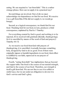eating. We are required to "eat fromfaith." This is a rather strange phrase. How can we apply it in a practical way?

Several things are involved. First of all, we must acknowledge our dependence on God for our food. We receive it as a gift fromHim. If He did not supply it, we would go hungry.

Second, as a logical consequence, we thank God for our food. Thanking God for our food, in turn, produces a third consequence, explained by Paul in 1 Timothy:

For everything created by God is good, and nothing is to be rejected, if it is received with gratitude [literally, thanksgiving]; for it is sanctified by means of the word of God and prayer.(1 Timothy 4:4–5)

As we receive our food fromGod with prayers of thanksgiving, it is sanctified; it actually becomes something holy, designed by God to do us good. Even if there were originally impure or harmful ingredients in our food, their effect is nullified by our faith, expressed in our prayers of thanksgiving.

Fourth, "eating fromfaith" has implications that go beyond the supper table. Our food is the source of our natural strength, and God is the source of our food. Therefore, our strength is itself a gift fromGod. We are not free to use it in selfish or sinful ways, but we are under an obligation to devote it to God's service and God's glory.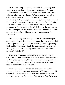As we thus apply the principle of faith to our eating, this whole area of our lives gains a new significance. We can understand how Paul could instruct the believers at Corinth with the following exhortation: "Whether, then, you eat or drink or whatever you do, do all to the glory of God" (1 Corinthians 10:31). Through faith, even our daily meals take on the nature of a sacrament, of which we partake for God's glory. This was one of the most immediate and obvious effects produced in the lives of the first Christians by the outpouring of the Holy Spirit on the day of Pentecost. Their meals became spiritual feasts of worship and praise. Luke recorded the following:

And day by day continuing with one mind in the temple, and breaking bread fromhouse to house, they were taking their meals together with gladness and sincerity of heart, praising God, and having favor with all the people. And the Lord was adding to their number day by day those who were being saved. (Acts 2:46–47)

There was something so different about the way these Christians actually ate their meals that it gained themthe favor of their unconverted neighbors and won these neighbors to the Lord. It can be the same with us today when we put our faith to work in this area of eating.

If the consequences of "eating fromfaith" are so farreaching, what about the consequences of failing to eat in this way? For a vivid picture of the man who does not eat from faith, we may turn to the book of Ecclesiastes. Few Christians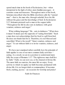spend much time in the book of Ecclesiastes, but—when interpreted in the light of other, more familiar passages—it contains some real treasures. Throughout most of the book, Solomon described what the Bible elsewhere calls the "natural man"—that is, the man who, through unbelief, lives his life without the grace and the knowledge of God. In Ecclesiastes 5:17, Solomon pictured such a man at the supper table: "Throughout his life he also eats in darkness with great vexation, sickness and anger."

What striking language! "He…eats in darkness." What does it mean? It means just the opposite of "eating fromfaith." Such a man does not acknowledge that his food is a gift fromGod. He does not thank God for it. Therefore, it is not blessed and sanctified. What is the result? "Great vexation, sickness and anger." To eat without faith is to invite vexation, sickness, and anger.

We have just examined rather carefully how the principle of faith applies to one of our most common daily activities eating. As a result, we are in a position to understand more fully the scope of Romans 1:17: "The righteous man shall live by faith." Faith, we can now see, is the channel of divine life. The more faith we exercise, the more life we enjoy. Every activity to which we apply our faith becomes permeated with divine life. It is no longer drab or commonplace. It becomes fresh, exciting, joyous—an occasion for worship and praise!

Faith for Finances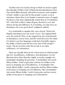Another area of everyday living in which we need to apply the principle of faith is that of financial and material provision. The whole Bible abounds with both assurances and examples of God's ability to provide for His people's needs, even in situations where there is no human or natural source of supply. Nowhere is this more emphatically stated than in 2 Corinthians 9:8: "And God is able to make all grace abound to you, that always having allsufficiency in everything, you may have an abundance for every good deed" (emphasis added).

It is worthwhile to examine this verse closely. Where the English translation uses the word "every," the original Greek uses the word all. Thus, in the original text, the word abound, or abundance, occurs twice, and the word all occurs five times. It is hard to see how language could more forcefully express the ability of God to provide for every area of His people's needs. The level of provision He reveals is not mere sufficiency; it is abundance.

There are actually three levels of provision on which people may live: insufficiency, sufficiency, and abundance. Let me illustrate these three fromthe simple, everyday example of a homemaker shopping for groceries. A homemaker who needs fifteen dollars' worth of groceries and has ten dollars in her purse is shopping out of insufficiency. A homemaker who needs fifteen dollars' worth of groceries and has fifteen dollars in her purse is shopping out of sufficiency. But a homemaker who needs fifteen dollars' worth of groceries and has twenty dollars in her purse is shopping out of abundance.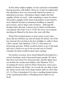In this rather simple example, we have pictured a homemaker buying groceries with dollars. However, it must be emphasized that abundance does not necessarily depend on money or material possessions. Abundance means simply that God supplies all that we need—with something to spare for others. The perfect example of this formof abundance is provided by Jesus Himself. He had no permanent dwelling, no material possessions, and no large sums of money—although His disciple Judas did carry a money box in which contributions were placed. (See John 12:4–6; 13:29.) Yet Jesus never lacked anything for Himself or for those who were with Him.

When Peter needed money at short notice to pay taxes, Jesus did not tell himto go and ask Judas for money out of the box. Instead, He sent himto the Sea of Galilee to collect it from a fish's mouth. (See Matthew 17:24–27.) This raises an interesting question. Which would be better: to go to the bank and cash a check or to go to the sea and cast in a hook? Certainly the latter would be much more exciting!

On another occasion, Jesus found Himself surrounded by a crowd of perhaps twelve thousand hungry people. We know that there were about five thousand men, and this figure does not include the women and children. (See Matthew 14:21.) Accepting five loaves and two fishes froma boy, Jesus gave thanks for themto His Father. As a result, He was able to feed the whole crowd, with twelve large baskets leftover. (See John 6:5–13.) That is abundance! It is also a startling demonstration of the supernatural effects of thanking God in faith for our food!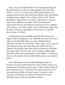Later, Jesus sent His disciples out to begin preaching, but He told themnot to take any extra supplies with them. (See Luke 9:1–3; 10:1–4.) At the end of His earthly ministry, He reminded themof this and asked themwhether they had lacked anything. They replied, "No, nothing" (Luke 22:35). That is abundance! I myself have served as a missionary at various times in two different countries. I know frompersonal observation that it is possible for a missionary to be supplied with a house, a car, and a salary, and yet lack many things that he needs. The key to abundance is not money or material possessions. It is faith!

Confronted by these examples fromthe life of Jesus, we might at first be tempted to say, "But that was Jesus! We can't expect to be like Him!" However, Jesus Himself told us otherwise. In John 14:12, He said, "Truly, truly, I say to you, he who believes in Me, the works that I do shall he do also." Likewise, the apostle John, who was an eyewitness of all that Jesus did, said, "The one who says he abides in Himought himself to walk in the same manner as He walked" (1 John 2:6). Jesus set the pattern for the walk of faith, and we are invited to follow.

If we still hesitate to accept this challenge, it may be because we do not understand the scope of God's grace. In 2 Corinthians 9:8, the key word is grace: "God is able to make all grace abound to you." The basis of our provision is not our own wisdomor ability, but God's grace. In order to avail ourselves of His grace, we need to understand two key principles that govern the operation of grace.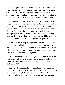The first principle is stated in John 1:17: "For the law was given through Moses; grace and truth came through Jesus Christ" (niv). Grace has only one channel—Jesus Christ. It is not received through the observance of any legal or religious systemof rules, but solely and invariably through Christ.

The second principle is stated in Ephesians 2:8–9: "For by grace you have been saved through faith;…not as a result of works, that no one should boast." Grace goes beyond anything that we can ever achieve or earn simply by our own abilities. Therefore, the only means by which we can appropriate it is faith. As long as we limit ourselves merely to what we deserve or what we can earn, we are failing to exercise faith, and therefore we do not enjoy God's grace to the full.

How do these principles apply in the area of finance? First of all, I must emphasize that God never blesses dishonesty, laziness, or financial irresponsibility. In Proverbs 10:4, we are told, "Lazy hands make a man poor, but diligent hands bring wealth" (niv). In the book of Ephesians, Paulsaid,

Let him who steals steal no longer; but rather let him labor, performing with his own hands what is good, in order that he may have something to share with himwho has need. (Ephesians 4:28)

God expects us, according to our abilities, to engage in honest work, not merely to earn enough for ourselves, but also to have something leftover to share with others who are in need. In 2 Thessalonians 3:10, Paul was even more emphatic: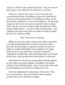"If anyone will not work, neither let himeat." The provision of God's grace is not offered to the dishonest or the lazy.

However, it may be that, when we have honestly and conscientiously done everything in our power to provide for ourselves and our dependents, we still find ourselves on the level of bare sufficiency, or even of insufficiency. The message of grace is that we do not need to accept this state as being God's will. We can turn our faith to God through Jesus Christ and trust Himto lift us—by ways of His own choosing—onto a higher level of provision than we could ever achieve merely by our own wisdomor ability.

# God's Provision Is Corporate

Before we leave the subject of provision, there is one more very important principle that we need to recognize: God's provision for His people is corporate. He does not treat us simply as isolated individuals, but as members of a single body, bound to one another by strong ties of mutual commitment. In Ephesians, after presenting Christ as the Head of this body, Paul described how God intends it to function:

Fromwhomthe whole body, being fitted and held together by that which every joint supplies, according to the proper working of each individual part, causes the growth of the body for the building up of itself in love.(Ephesians 4:16)

Paul here emphasized the importance of the joints. They serve two functions: First, they hold the body together; second, they are the channels of supply.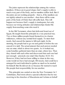The joints represent the relationships among the various members. If these are in good shape, God's supply is able to reach every part of the body, and no member suffers lack. But if the joints are not working properly—that is, if the members are not rightly related to one another—then there will be some parts of the body of Christ that will suffer lack. This will happen not because God's supply is inadequate, but only because our wrong attitudes and relationships hinder His supply fromreaching some who need it.

In the Old Testament, when God delivered Israel out of Egypt, He taught themthis principle in a very practical way. Two or three million people found themselves in a barren wilderness, without any normal food supply. To meet their needs, God caused the manna to fall each night. In the morning, the people had to go out and gather it before the sun caused it to melt. The actual amount that each person needed was an omer, which is about two quarts. As it worked out, some Israelites gathered more than an omer, others less. Then they shared with each other and discovered that each one had just enough—precisely one omer! (See Exodus 16:14–18.) However, if they had not been willing to share in this way, some would not have had enough. Obviously, God could have arranged for each individual to gather as much as he needed for himself. But He did not do so because He wanted to teach His people their responsibility for one another.

This principle was carried on into the New Testament. In 2 Corinthians, Paul wrote about a special collection that he was receiving in the churches of Macedonia and Achaia on behalf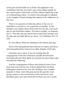of the poor Jewish believers in Judea. He explained to the Corinthians that this was God's way of providing equally for the various parts of the body of Christ without depriving some or overburdening others. To enforce this principle, he alluded to the example of Israel sharing their manna in the wilderness in this way:

There is no question of relieving others at the cost of hardship to yourselves; it is a question of equality. At the moment your surplus meets their need, but one day your need may be met fromtheir surplus. The aimis equality; as Scripture has it, "The man who got much had no more than enough, and the man who got little did not go short." (2 Corinthians 8:13–15 neb)

In verse fifteen, Paul was referring to the Exodus passage:

Those who had gathered more had not too much, and those who had gathered less had not too little. (Exodus 16:18 neb)

Christians are to share. It was by sharing that the congregation of the first Christians actually functioned in Jerusalemafter the Holy Spirit was poured out upon them. Luke recorded the following:

And the congregation of those who believed were of one heart and soul; and not one of themclaimed that anything belonging to himwas his own; but all things were common property to them. And with great power the apostles were giving witness to the resurrection of the Lord Jesus, and abundant grace was upon themall. For there was not a needy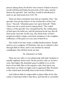person among them, for all who were owners of land or houses would sell themand bring the proceeds of the sales, and lay themat the apostles' feet; and they would be distributed to each, as any had need.(Acts 4:32–35)

There are three statements here that go together. First, "the apostles were giving witness to the resurrection of the Lord Jesus." Second, "abundant grace was upon themall." Third, "there was not a needy person among them." The verbal witness of the apostles was strengthened by the visible grace of God upon the believers, and the practical result was that all their needs were met. In this way, the whole body of God's people provided a single, consistent testimony to the complete sufficiency of His grace in every area of their lives.

The world of our day needs a similar demonstration. People need to see a company of Christians who are so related to God through faith in Christ, and to one another by mutual commitment, that all their needs are met.

# No Alternative to Faith

There are two sides to our relationship with God. Scripture is equally emphatic about each. On the positive side, as we have seen, God makes His abundant grace available to us on the basis of our faith. But on the negative side, God rejects any other basis on which we might seek to approach Him. Nowhere is this stated more forcefully than in the book of Hebrews:

And without faith it is impossible to please Him, for he who comes to God must believe that He is, and that He is a rewarder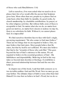of those who seek Him.(Hebrews 11:6)

Left to ourselves, if we were asked what we need to do to please God, few of us would offer the answer that Scripture gives here. More often than not, people try to please God on some basis other than faith: by morality, by good works, by church membership, by charitable contributions, by prayer, or by other religious activities. But without faith, none of these is acceptable to God. No matter what else we do, no matter how good our motives, no matter how sincere or zealous we may be, there is no substitute for faith. Without it, we cannot please God. It is impossible!

We find ourselves therefore face-to-face with God's single, unvarying requirement: "He who comes to God must believe." There are two things that we are required to believe. First, we must believe that God exists. Most people believe that He exists, but that by itself is not sufficient. We must also believe that God is the "rewarder of those who seek Him." This goes beyond the fact of God's existence to His nature. We are required to believe in the essential goodness of God—His faithfulness and dependability. Believing in God in this way takes us beyond mere doctrine or theology. It establishes a direct, personal relationship between God and the one who believes.

In chapter one of this book, I said that faith connects us to two invisible realities: God and His Word. Now we must go one step further. The ultimate object of faith is none other than God Himself. It is true that we believe in God's Word, but we do so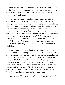because His Word is an extension of Himself. Our confidence in His Word rests on our confidence in Himas a person. If we ever cease to believe in God, we will eventually cease to believe His Word, also.

It is very important to see that merely believing a formof doctrine or theology is not the ultimate goal. Those whose faith goes no further than this never come to know the fullness and richness of life that God offers us. His final purpose is to bring us into an immediate, intimate, person-to-person relationship with Himself. Once established, this relationship motivates, directs, and sustains all that we do. It becomes both the source and the consummation of life. Interpreted in this way, Habakkuk's prophecy, "The righteous will live by his faith" (Habakkuk 2:4), points us not to a creed or a theology, but to an intimate, ongoing, all-embracing relationship with God Himself.

It is this kind of relationship that David spoke of in Psalm 23:1: "The Lord is my shepherd, I shall not want." David was not explaining a theology; he was describing a relationship. On the basis of his relationship to the Lord as his Shepherd, he declared, "I shall not want." What a marvelous expression of total personalsecurity! It covers every need, every situation. David could have added other words; he could have said, "I will not lack money, food, friends, or health." But to do so would have weakened his words. "I shall not want" stands best alone, leaving no roomfor lack of any kind.

I amimpressed by the way in which Scripture expresses the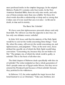most profound truths in the simplest language. In the original Hebrew, Psalm23:1 contains only four words. In the New American Standard Bible, there are only nine words, and only one of themcontains more than one syllable. Yet these few short words describe a relationship so deep and so strong that it takes care of every need that can ever arise—in life and in death, in time and in eternity.

# The Basic Sin: Unbelief

We have seen that righteousness proceeds always and only fromfaith. We will now see that the opposite is also true; sin has only one ultimate source: unbelief.

In John 16:8, Jesus said that the ministry of the Holy Spirit would be to convict the world concerning three things: "And He, when He comes, will convict the world concerning sin, and righteousness, and judgment." Then, in the next verse, Jesus defined the specific sin of which the Holy Spirit would bring conviction: "Concerning sin, because they do not believe in Me." The primary sin, of which the whole world is guilty, is unbelief. This is the basis of all other sins.

The third chapter of Hebrews deals specifically with this sin of unbelief. The writer reminded us that a whole generation of God's people came out of Egypt under Moses, but they never entered the Promised Land because of their unbelief. Instead, they perished in the wilderness.

In Hebrews 3:12, the writer applied the tragic lesson that Israel learned to us as Christians: "Take care, brethren, lest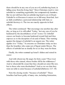there should be in any one of you an evil, unbelieving heart, in falling away fromthe living God." Most Christians tend to view unbelief as something regrettable, but comparatively harmless. But we are told here that an unbelieving heart is an evil heart. Unbelief is evil because it causes us to fall away fromGod. Just as faith establishes a personal relationship with God, so unbelief destroys it. The two are exactly opposite in their effects.

The writer continued: "But encourage one another day after day, as long as it is still called 'Today,' lest any one of you be hardened by the deceitfulness of sin" (verse 13). Unbelief causes our hearts to become hardened toward God and thus exposes us to the deception of sin and of Satan. This warning against the danger of unbelief is an urgent one. The writer applies it to "Today." It concerns us Christians today no less than the Israelites who came out of Egypt under Moses. The effects of unbelief are as deadly for us as they were for them.

Finally, the writer summed up Israel's failure and stated its cause:

And with whomwas He angry for forty years? Was it not with those who sinned, whose bodies fell in the wilderness? And to whomdid He swear that they should not enter His rest, but to those who were disobedient? And so we see that they were not able to enter because of unbelief.(Hebrews 3:17–19)

Note the closing words: "because of unbelief." These Israelites had been guilty of many sins, including fornication,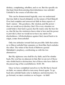idolatry, complaining, rebellion, and so on. But the specific sin that kept themfromentering their inheritance was unbelief. Unbelief is the source of all other sins.

This can be demonstrated logically, once we understand that true faith is based ultimately on the nature of God Himself. If we had complete and unreserved faith in three aspects of God's nature—His goodness, His wisdom, and His power then we would never disobey God. If in every situation we could believe that God is good, that He wants only the best for us, that He has the wisdomto know what is best and the power to provide it, then we would never have any motive for disobedience. All disobedience against God, traced back to its origin, comes fromunbelief.

Only two attitudes toward God are possible: faith that unites us to Himor unbelief that separates us fromHim. Each excludes the other. The writer of the book of Hebrews quoted Habakkuk's prophecy, confronting us with the two alternatives:

But My righteous one shall live by faith; and if he shrinks back, My soul has no pleasure in him. But we are not of those who shrink back to destruction, but of those who have faith to the preserving of the soul.(Hebrews 10:38–39)

Once we have committed ourselves to the life that is based on faith, we cannot afford to turn away fromit again. To go back into unbelief leads only to darkness and destruction. To go forward, we must continue as we began—in faith!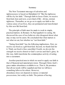#### Summary

The New Testament message of salvation and righteousness is based on Habakkuk 2:4: "But the righteous will live by his faith." Through faith in Jesus Christ, we receive fromGod, here and now, a new kind of life—divine, eternal, righteous. Thereafter, as we go on to apply our faith to the various areas of our lives, they are permeated and transformed by this new life fromGod.

The principle of faith must be made to work in simple, practical matters. In Romans 14, Paul applied it to eating. He discussed the case of two believers who disagreed about what may or may not be eaten. He concluded that what matters is not what we eat, but whether we "eat fromfaith."

"Eating fromfaith" has the following implications. First, we receive our food as a gift fromGod. Second, we thank God for it. Third, our food is thus sanctified. Fourth, we devote the strength we receive fromit to God's service and God's glory. In this way, faith transforms the commonplace activity of eating into a sacrament.

Another practical area in which we need to apply our faith is that of financial and material provision. Through Christ, God's grace makes abundance available to us. That is, He promises that all our needs will be supplied and that we will have something leftover for others. However, abundance does not depend on money or material possessions, but solely on faith. The pattern of having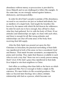abundance without money or possessions is provided by Jesus Himself, and we are challenged to follow His example. At the same time, we are strongly warned against laziness, dishonesty, and irresponsibility.

In order for all of God's people to partake of His abundance, we need to see ourselves not just as isolated individuals, but as members of a single body. God taught the Israelites this lesson by the manna with which He fed themin the wilderness. In order for each one to have enough, they all had to share what they had gathered. So it is with the body of Christ. If our attitudes and relationships are right, we share with each other, and there is enough for all. But wrong attitudes and relationships can shut off some areas of the body from receiving their full supply.

After the Holy Spirit was poured out upon the first Christians in Jerusalem, the practical outworking of their faith was manifested in both of the areas we have considered: food and finance. Their meals became sacraments, accompanied by praise and worship. They made their finances available to each other in such a way that "there was not a needy person among them" (Acts 4:34). God's grace thus manifested in their daily lives helped to win their neighbors to Christ.

God offers us nothing other than faith as the basis on which to approach Him. Nor is it enough to believe simply in His existence. We must believe in His essential goodness. This takes us beyond mere theology into a direct, intimate relationship with God as a person, which becomes our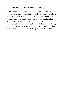guarantee of total provision and totalsecurity.

Sin has only one ultimate source: unbelief. If we were to have complete, unvarying faith in God's goodness, wisdom, and power, we would never have any motive for sin. The writer of Hebrews pointed out that it was unbelief that kept the Israelites out of their inheritance, and he warned us as Christians about the same deadly error. In the final analysis, there are only two possible attitudes toward God: faith that unites us to Himor unbelief that separates us fromHim.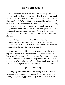# **How Faith Comes**

In the previous chapter, we faced the challenge of God's uncompromising demands for faith: "The righteous man shall live by faith" (Romans 1:17). "Whatever is not fromfaith is sin" (Romans 14:23). "Without faith it is impossible to please Him" (Hebrews 11:6). "He who comes to God must believe" (verse 6). In light of these divine demands, we can easily see why Scripture compares faith to the most precious gold. Its value is unique. There is no substitute for it. Without it, we cannot approach God, we cannot please Him, and we cannot receive His life.

How, then, do we acquire faith? Is it something unpredictable and unexplainable over which we have no control? Or does the same Bible that presents God's demands for faith also show us the way to acquire it?

It is my purpose in this chapter to share one of the most important discoveries I have ever made in the Christian life. Like most of the lessons that have proved of permanent value to me, I learned it the hard way—by personal experience. Out of a period of struggle and suffering, I eventually emerged with this one pearl of great price: I had learned how faith comes.

Light in a Dark Valley

During my service with the British army in World War II, I lay sick with a chronic skin infection for twelve months in a military hospital in Egypt. Month by month, I became more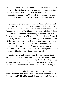convinced that the doctors did not have the means to cure me in the hot desert climate. Having recently become a Christian and having been baptized in the Holy Spirit, I had a real, personal relationship with God. I felt that somehow He must have the answer to my problem, but I did not know how to find it.

Over and over again I said to myself, "I know that if I had faith, God would heal me." Then I always added, "But I don't have faith." Each time I said that, I found myself in what John Bunyan, in his book The Pilgrim's Progress, called the "Slough of Despond"—the dark, lonely valley of despair. One day, however, a brilliant ray of light pierced the darkness. Propped up on my pillows in bed, I held the King James Version of the Bible open across my knees. My eyes were suddenly arrested by Romans 10:17: "So then faith cometh by hearing, and hearing by the word of God." A single word gripped my attention. It was "cometh." I laid hold of one simple fact: "Faith cometh"! If I did not have faith, I could get it!

But how does faith come? I read the verse again: "Faith cometh by hearing, and hearing by the word of God." I had already accepted the Bible as the Word of God. So the source of faith was right there in my hands. But what was meant by "hearing"? How could I "hear" what the Bible had to say to me?

I determined to go back to the beginning of the Bible and read it right through, book by book, in order. At the same time, I armed myself with a blue pencil, intending to underline in blue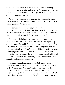every verse that dealt with the following themes: healing, health, physical strength, and long life. At times the going was not easy, but I persevered. I was surprised at how often I needed to use my blue pencil.

After about two months, I reached the book of Proverbs. There, in the fourth chapter, I found three consecutive verses that required my blue pencil:

My son, attend to my words; incline thine ear unto my sayings. Let themnot depart fromthine eyes; keep themin the midst of thine heart. For they are life unto those that find them, and health to all their flesh.(Proverbs 4:20–22 kjv)

As I was underlining these words, their meaning began to open up to me. "My son." It was my Father, God, speaking directly to me, His child. The message was very personal. God was telling me what His "words" and His "sayings" could be to me: "health to all [my] flesh." How could God promise me more for my physical body than that? Health and sickness are opposites; each excludes the other. If I could have health in all my flesh—my whole physical body—then there would be no roomfor sickness in it anywhere.

I noticed that in the margin of my Bible there was an alternative translation for "health." It was "medicine." Could God's "words" and "sayings" really be medicine for the healing of my whole body? After much inward debate, I determined to put this idea to the test. At my own request, all my medication was suspended. Then I began to take God's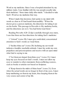Word as my medicine. Since I was a hospital attendant by my military trade, I was familiar with the way people usually take their medicine: "three times daily after meals." I decided to take God's Word as my medicine that way.

When I made that decision, God spoke to my mind with words as clear as if I had heard themaudibly: "When the doctor gives a person medicine, the directions for taking it are on the bottle. This passage in Proverbs is My medicine bottle, and the directions are on it. You had better read them."

Reading Proverbs 4:20–22 (kjv) carefully through once more, I saw that there are four directions for taking God's medicine:

1."Attend" (verse 20). I must give undivided, concentrated attention to God's words as I read them.

2."Incline thine ear" (verse 20). Inclining my ear would indicate a humble, teachable attitude. I must lay aside my own prejudices and preconceptions and receive with an open mind what God is saying to me.

3."Let themnot depart fromthine eyes" (verse 21). I must keep my eyes focused on God's words. I must not allow my eyes to wander to other statements fromconflicting sources, such as books or articles not based on Scripture.

4."Keep themin the midst of thine heart" (verse 21). Even when the actual words are no longer in front of my eyes. I must keep meditating on themin my heart, thus keeping themat the very source and center of my life.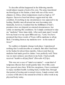To describe all that happened in the following months would almost require a book of its own. The army transferred me fromEgypt to the Sudan, a land with one of the worst climates in Africa, where temperatures reach as high as 127 degrees. Excessive heat had always aggravated my skin condition. Everything in my circumstances was opposed to my healing. Healthy men all around me were becoming sick. Gradually, however, I realized that the fulfillment of God's promises does not depend on external circumstances, but solely on meeting His conditions. So I simply continued to take my "medicine" three times daily. After each main meal, I would bow my head over my open Bible and say, "Lord, You have promised that these words of Yours will be medicine to all my flesh. I'mtaking themas my medicine now—in the name of Jesus!"

No sudden or dramatic change took place. I experienced nothing that I could describe as a miracle. But after I had been in the Sudan for about three months, I discovered that my medicine had made good its claims. I was perfectly well. There was no more sickness anywhere in my body. I had actually received "health to all [my] flesh" (Proverbs 4:22 kjv).

This was not a case of "mind over matter"—some kind of temporary illusion that would quickly fade. Over fifty years have passed since then. With few exceptions, I have continued to enjoy excellent health. Looking back, I realize that, through that period of testing and eventual victory, I made contact with a source of life above the natural level that is still at work in my physical body today.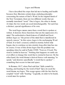### Logos and Rhema

I have described the steps that led me to healing and health because they illustrate certain deep, enduring principles concerning the nature of God's Word. In the original Greek of the New Testament, there are two different words that are normally translated "word." One is logos; the other is rhema. At times the two words are used interchangeably. Yet each has a distinct, specialsignificance of its own.

The word logos means more than a word that is spoken or written. It denotes those functions that are the expression of a mind. The authoritative Greek lexicon of Liddell and Scott defines logos as "the power of the mind that is manifested in speech; reason." In this sense, logos is the unchanging Word of God. It is God's counsel, settled in eternity before time began, due to continue on into eternity long after time has run its course. It was of this divine logos that the psalmist was speaking when he said in Psalm119:89, "Forever, O Lord, Thy word is settled in heaven." Nothing that happens on earth can ever affect or change this word that is eternal in heaven. On the other hand, the word rhema is derived froma verb meaning "to speak," and denotes specifically "a word that is spoken" something that occurs in time and space.

In Romans 10:17, when Paulsaid that "faith cometh by hearing, and hearing by the word of God" (kjv), he used the word rhema, not logos. This usage agrees with the fact that he coupled "word" with "hearing." Logically, in order to be heard, a word must be spoken.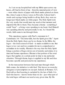As I sat on my hospital bed with my Bible open across my knees, all I had in front of me—fromthe material point of view —were white sheets of paper with black marks printed on them. But, when I came to those verses in Proverbs 4 about God's words and sayings being health to all my flesh, they were no longer just black marks on white paper. The Holy Spirit took the very words that would meet my need at that moment and imparted His life to them. They became a rhema—something I could "hear"—a living voice speaking to my heart. God Himself was speaking directly and personally to me. As I heard His words, faith came to me through them.

This experience agrees with Paul's statement in 2 Corinthians 3:6: "The letter kills, but the Spirit gives life." Apart fromthe Holy Spirit, there can be no rhema. In the Bible, the logos—the total counsel of God—is made available to me. But logos is too vast and too complex for me to comprehend or assimilate in its totality. Rhema is the way that the Holy Spirit brings a portion of logos down out of eternity and relates it to time and human experience. Rhema is that portion of the total logos that applies at a certain point in time to my particular situation. Through rhema, logos is applied to my life and thus becomes specific and personal in my experience.

In the transaction between God and man through which faith comes, the initiative is with God. This leaves no roomfor arrogance or presumption on our part. Indeed, in Romans 3:27, Paul told us that boasting is excluded by the law of faith. It is God who knows—knows better than we do—just what part of the total logos will meet our need at any given time. By His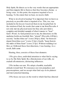Holy Spirit, He directs us to the very words that are appropriate and then imparts life to themso that they become a rhema—a living voice. At this point, the response required of us is hearing. To the extent that we hear, we receive faith.

What is involved in hearing? It is important that we know as precisely as possible what is required of us. This, too, was included in the lesson I received there in my hospital bed. In the wisdomof God, the words that came to me fromProverbs 4 not only met my physical need, but they also provided a complete and detailed example of what it means to "hear" God's Word. As God pointed out to me, the directions on His medicine bottle are fourfold: first, "attend" (Proverbs 4:20 kjv); second, "incline thine ear" (verse 20 kjv); third, "let them not depart fromthine eyes" (verse 21 kjv); fourth, "keep themin the midst of thine heart" (verse 21 kjv). Without realizing it at first, as I followed these four directions, I was hearing. As a result, faith came.

Hearing, then, consists of these four elements:

1.We give close, undivided attention to what God is saying to us by His Holy Spirit. By a firmdecision of our wills, we exclude all extraneous, distracting influences.

2.We incline our ears. We adopt a humble, teachable attitude toward God. We renounce our own prejudices and preconceptions, and we accept what God says in its plainest and most practical meaning.

3.We focus our eyes on the word to which God has directed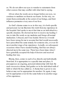us. We do not allow our eyes to wander to statements from other sources that may conflict with what God is saying.

4.Even when the words are no longer before our eyes, we continue to meditate on themin our hearts. In this way, we retain themcontinually at the center of our beings, and their influence permeates every area of our lives.

As God's rhema comes to us in this way, it is both specific and personal. Let me illustrate this truth frommy experience in the hospital. God spoke to me at that time as an individual in a specific situation. He showed me how to receive my healing: I was to take His words as my medicine and forego all normal medication. I obeyed, and I was healed. However, it would have been wrong for me to assume that God would necessarily have prescribed the same remedy for someone else, or even for me at another stage of my experience. Actually, on subsequent occasions when I have needed healing, God has not always directed me in the same way. There have been times when I have gratefully accepted the help of doctors and received healing that way.

Rhema, then, comes to each of us directly and individually fromGod. It is appropriate to a specific time and place. It presupposes an ongoing, personal relationship with God. By each successive rhema, God guides us in the individual walk of faith to which He has called us. A rhema that is given to one believer may not be appropriate for another. Or, again, it may not be appropriate even for the same believer in another stage of his experience.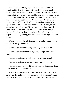This life of continuing dependence on God's rhema is clearly set forth in the words with which Jesus answered Satan's first temptation in the wilderness: "Man shall not live on bread alone, but on every word [rhema] that proceeds out of the mouth of God" (Matthew 4:4). The word "proceeds" is in the continuous present tense. We could say, "Every word as it proceeds out of the mouth of God." Jesus here spoke of a specific word proceeding directly fromGod's mouth, a word energized by the breath of His mouth, or, in other words, by the Holy Spirit. This is our daily bread—always fresh, always "proceeding." As we live in continual dependence on it, it imparts to us, day by day, the faith by which the righteous man lives.

We may sumup the relationship between logos and rhema in the following statements:

•Rhema takes the eternal logos and injects it into time.

•Rhema takes the heavenly logos and brings it down to earth.

•Rhema takes the potential logos and makes it actual.

•Rhema takes the general logos and makes it specific.

•Rhema takes a portion of the total logos and presents it in a formthat a man can assimilate.

Rhema is like each of the broken pieces of bread with which Jesus fed the multitude—it is suited to each individual's need and capacity. Often it comes to us through another's hands.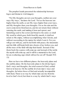The prophet Isaiah presented the relationship between logos and rhema in vivid imagery:

"For My thoughts are not your thoughts, neither are your ways My ways," declares the Lord. "For as the heavens are higher than the earth, so are My ways higher than your ways, and My thoughts than your thoughts. For as the rain and the snow come down fromheaven, and do not return there without watering the earth, and making it bear and sprout, and furnishing seed to the sower and bread to the eater; so shall My word be which goes forth fromMy mouth; it shall not return to Me empty, without accomplishing what I desire, and without succeeding in the matter for which I sent it. For you will go out with joy, and be led forth with peace; the mountains and the hills will break forth into shouts of joy before you, and all the trees of the field will clap their hands. Instead of the thorn bush the cypress will come up; and instead of the nettle the myrtle will come up; and it will be a memorial to the Lord, for an everlasting sign which will not be cut off."(Isaiah 55:8– 13)

Here we have two different planes: the heavenly plane and the earthly plane. On the heavenly plane is the divine logos: God's ways and thoughts, the total counsel of God, settled forever in heaven. On the earthly level are man's ways and thoughts, far below those of God and actually incompatible with them. There is no way by which man can rise fromhis level to God's level, but there is a way by which God's ways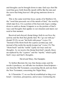and thoughts can be brought down to man. God says that His word that goes forth fromHis mouth will be like the rain and the snow that bring heaven's life-giving moisture down to earth.

This is the same word that Jesus spoke of in Matthew 4:4, the "word that proceeds out of the mouth of God," the word by which man lives. It is a portion of the heavenly logos coming down to earth as rhema. It imparts to us the portion of God's ways and thoughts that applies to our situation and meets our need at that moment.

Received and obeyed, rhema brings forth in our lives the activity and the fruit that glorify God. We "go out with joy" (Isaiah 55:12); we are "led forth with peace" (verse 12). "Instead of the thorn bush the cypress [comes] up; and instead of the nettle the myrtle [comes] up" (verse 13). The "thorn bush" and the "nettle" typify our ways and our thoughts. As we receive the rhema fromGod's mouth, these are replaced by the "cypress" and the "myrtle," which typify God's ways and God's thoughts.

### David and Mary, Our Examples

To further illustrate the way that rhema comes and the results it produces, we will take two incidents fromScripture one fromthe Old Testament, concerning David, and one from the New Testament, concerning the Virgin Mary.

In 1 Chronicles 17, we see David established as king over Israel—victorious, prosperous, and at ease. Contrasting his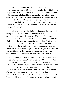own luxurious palace with the humble tabernacle that still housed the sacred ark of God's covenant, he desired to build a temple worthy of God and His covenant. The prophet Nathan, with whomDavid shared his desire, at first gave himwarm encouragement. But that night, God spoke to Nathan and sent himback to David with a different message. The message began, "You shall not build a house for Me" (verse 4), but it closed, "Moreover, I tell you that the Lord will build a house for you" (verse 10).

Here is an example of the difference between the ways and thoughts of God and of man. The highest plan that David could conceive was still on the earthly plane: that he would build a house for God. The promise that came back to himfrom God was on the heavenly plane, far higher than David would ever have conceived: that God would build a house for him. Furthermore, David had used the word house in its material sense, merely as a dwelling place. But in His promise, God used the word house in its wider meaning, the meaning of an enduring posterity—a royal line that would continue forever.

In his message, Nathan brought to David a rhema—a direct, personal word fromGod. In response, David "went in and sat before the Lord" (1 Chronicles 17:16). What was he doing? First of all, undoubtedly, he had to set aside his own plans and preconceptions. Gradually, as he was emptied of these, he began to meditate with focused attention on God's message, allowing it to penetrate to his innermost being. In this condition of inner stillness, he was able to hear. Finally, out of hearing, faith came—the faith needed to appropriate what God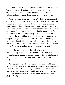had promised him. Still sitting in God's presence, David replied, "And now, O Lord, let the word that Thou hast spoken concerning Thy servant and concerning his house, be established forever, and do as Thou hast spoken" (verse 23).

"The word that Thou hast spoken"—that was the rhema. It did not originate on the earthly plane of David's own ways and thoughts. It came down fromthe heavenly place, bringing God's ways and thoughts down to David. Having heard this rhema and having allowed it to produce faith within him, David appropriated its promise by a prayer that included these five short words: "Do as Thou hast spoken." These five words represent the most effective prayer that anyone can pray—so simple, so logical, and yet so powerful. Once we are truly convinced that God has said something to us, and we in turn ask Himto do what He has said, how can we doubt that He will do it? What power in heaven or on earth can prevent it?

FromDavid, we move on through a thousand years of Jewish history to a humble descendant of his royal line—a peasant maiden named Mary, who lived in the city of Nazareth. An angel appeared to her with a message fromthe throne of God:

And behold, you will conceive in your womb, and bear a son, and you shall name HimJesus. He will be great, and will be called the Son of the Most High; and the Lord God will give Himthe throne of His father David; and He will reign over the house of Jacob forever; and His kingdomwill have no end. (Luke 1:31–33)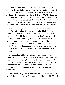When Mary questioned how this could come about, the angel explained that it would be by the supernatural power of the Holy Spirit. He concluded his message with the words, "For nothing will be impossible with God" (verse 37). "Nothing" in the original Greek means literally "no word"—"no rhema." The angel's reply could just as well be translated, "No word (rhema) fromGod will be void of power," or, more freely, "Every word (rhema) fromGod contains the power for its own fulfillment."

The angel brought to Mary a rhema—a direct, personal word fromGod to her. That rhema contained in it the power to fulfill what it promised. The outcome depended on Mary's response. "Behold, the bondslave of the Lord," she replied, "be it done to me according to your word" (verse 38). By these words, Mary unlocked the supernatural power of God in the rhema and opened herself to its fulfillment in her physical body. As a result, there occurred the greatest miracle of human history: the birth of God's eternal Son fromthe womb of a virgin.

In its simplicity, Mary's response was parallel to that of David. David said, "Do as Thou hast spoken." Mary said, "Be it done to me according to your word." Both of these simple replies unlocked the miracle-working power of God to fulfill the promise that had been given. In both cases, the rhema, received by faith, contained in it the power for its own fulfillment.

Some people may question my statement that the miracle of Jesus' birth depended on the response of Mary's faith. Yet this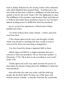truth is plainly indicated by the closing words of the salutation with which Elizabeth later greeted Mary: "And blessed is she who believed that there would be a fulfillment of what had been spoken to her by the Lord" (Luke 1:45). The implication is clear: The fulfillment of the promise came because Mary had believed it. Without this belief, there would have been no way for God's miracle-working power to fulfill what had been promised.

Let us see how the experiences of David and of Mary parallel each other:

1.To both of them, there came a rhema—a direct, personal word fromGod.

2.This rhema expressed the ways and thoughts of God, which were far above anything that they would ever have conceived by their own reasoning or imagination.

3.As they heard the rhema, it imparted faith to them.

4.Both expressed faith by a simple statement that gave consent to what was promised: "Do as Thou hast spoken" (1 Chronicles 17:23). "Be it done to me according to your word" (Luke 1:38).

5.Faith expressed in this way made roomfor the power of God within the rhema to bring about the fulfillment of what had been promised.

God still works the same way today with His believing people. By the Holy Spirit, He takes out of His logos, His eternal counsel, a rhema—a specific word that fits a particular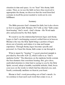situation in time and space. As we "hear" this rhema, faith comes. Then, as we use the faith we have thus received to appropriate the rhema, we discover that the word fromGod contains in itself the power needed to work out its own fulfillment.

### Summary

The Bible presents God's demand for faith, but it also shows us how to acquire faith. Romans 10:17 tells us that "faith comes fromhearing" God's word—God's rhema—His Word made alive and personal by the Holy Spirit.

We need to see the relationship between logos and rhema. Logos is God's unchanging counsel, settled forever in heaven. Rhema is the way the Holy Spirit brings a portion of logos down out of eternity and relates it to time and human experience. Through rhema, logos becomes specific and personal. As I hear this rhema, faith comes to me through it.

What is meant by "hearing"? A good, practical example is provided by Proverbs 4:20–22, which I refer to as "God's medicine bottle." The directions on the medicine bottle contain the four elements that constitute hearing: first, give close, undivided attention to what God is saying to you by the Holy Spirit; second, adopt a humble, teachable attitude; third, focus your eyes on the words to which God has directed you; and, fourth, continually meditate on themin your heart.

Rhema is God's word proceeding out of God's mouth. As we continue to hear each such word that comes to us, it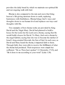provides the daily bread by which we maintain our spiritual life and our ongoing walk with God.

Rhema is also compared to the rain and snow that bring heaven's life-giving moisture down to earth, replacing barrenness with fruitfulness. Rhema brings God's ways and thoughts down to our human level and replaces our ways and thoughts with His.

Two examples of how rhema works are provided by King David and the Virgin Mary. David had planned to build a house for the Lord, but the Lord sent a rhema, saying that He would build a house for David. To Mary, God sent a rhema by the angel Gabriel, saying that she was to become the mother of Israel's long-awaited Messiah, the Son of God. In each case, as David and Mary heard the rhema, it imparted faith to them. Through faith, they were able to receive the fulfillment of what the rhema had promised. Their responses were simple but sufficient: "Do as Thou hast spoken" (1 Chronicles 17:23), and "Be it done to me according to your word" (Luke 1:38).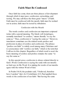# **Faith Must Be Confessed**

Once faith has come, there are three phases of development through which it must pass: confession, outworking, and testing. We may call these the three great "musts" of faith. Faith must be confessed with the mouth; faith must be worked out in action; faith must be tested by tribulation.

### Confession with the Mouth

The words confess and confession are important scriptural terms with a special meaning. The Greek verb homologeo, normally translated "to confess," means literally "to say the same as." Thus, confession is "saying the same as." However, translators sometimes use the related words profess and profession in place of confess and confession. The phrase "profess our faith" is widely used among many Christians and is synonymous with "confess our faith," which is the termthat I will use in this chapter. Regardless of which word is used, the basic meaning of confess and profess remains the same: "to say the same as."

In this special sense, confession is always related directly to God's Word. Confession is saying the same with our mouths as God says in His Word. It is making the words of our mouths agree with the written Word of God.

In Psalm116:10, the psalmist said, "I believed, therefore have I spoken" (kjv). In 2 Corinthians 4:13, Paul applied these words to the confession of our faith: "But having the same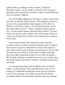spirit of faith, according to what is written, 'I believed, therefore I spoke,' we also believe, therefore also we speak." Speaking is the natural way for faith to express itself. Faith that does not speak is stillborn.

The whole Bible emphasizes that there is a direct connection between our mouths and our hearts. What happens in the one can never be separated fromwhat happens in the other. In Matthew 12:34, Jesus told us, "For the mouth speaks out of that which fills the heart." Today's English Version renders this, "For the mouth speaks what the heart is full of." In other words, the mouth is the overflow valve of the heart. Whatever comes out through that overflow valve indicates the contents of the heart.

In the natural world, if the water that comes fromthe overflow valve of a cistern contains particles of grit or fungus, then it does no good to claimthat the water in the cistern is pure. There must be grit or fungus somewhere in it. So it is with the contents of our hearts. If our hearts are filled with faith, then that will be expressed in what we say with our mouths. But if words of doubt or unbelief come out of our mouths, they inevitably indicate that there is doubt or unbelief somewhere in our hearts.

As a hospital attendant with the British forces in North Africa, I worked closely with a Scottish doctor who was in charge of a small field hospital that cared only for dysentery cases. Every morning, as we made our rounds, the doctor invariably addressed each patient with the same two opening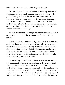sentences: "How are you? Show me your tongue!"

As I participated in this medical ritual each day, I observed that the doctor was much more interested in the state of the patient's tongue than in the answer that he received to the question, "How are you?" I have reflected many times since then that the same is probably true of our relationship with God. We may offer God our own assessments of our spiritual conditions, but in the final analysis, God, like the doctor, judges mainly from our tongues.

As Paul defined the basic requirements for salvation, he laid equalstress on faith in the heart and confession with the mouth:

But what saith it? The word is nigh thee, even in thy mouth, and in thy heart: that is, the word of faith, which we preach; that if thou shalt confess with thy mouth the Lord Jesus, and shalt believe in thine heart that God hath raised himfromthe dead, thou shalt be saved. For with the heart man believeth unto righteousness; and with the mouth confession is made unto salvation.(Romans 10:8–10 kjv)

I use the King James Version of these three verses because it is closer in structure and phraseology to the original Greek than any of the modern versions that I have discovered. In each of these three verses, Paulspoke about the mouth and the heart, but the order in which he did so is significant. In verse eight, it is the mouth first, then the heart. In verse nine, again it is the mouth first, then the heart. But in verse ten, the order is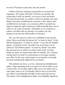reversed: The heart comes first, then the mouth.

I believe that this ordering corresponds to our practical experience. We begin with God's Word in our mouths. By confessing it with our mouths, we receive it into our hearts. The more persistently we confess it with our mouths, the more firmly it becomes established in our hearts. Once faith is thus established in our hearts, no conscious effort is needed any longer to make the right confession. Faith naturally flows out in what we say with our mouths. Thereafter, as we continue to express our faith with our mouths, we confess our way progressively into the full benefits of salvation.

The way this process works was confirmed to me one day when I discovered that the phrase for "to learn by heart" in the Hebrew language is "to learn by mouth." I saw that the English phrase "to learn by heart" describes the result that is to be achieved. The Hebrew phrase "to learn by mouth" describes the practical way in which we achieve that result. To learn things by heart, we repeat themwith our mouths. We continue saying themover and over until doing so no longer requires any effort. In this way, what begins in our mouths eventually becomes permanently imprinted on our hearts.

This method was how, as a boy, I learned my multiplication tables. I kept repeating themover and over: Seven times seven is forty-nine; seven times eight is fifty-six; seven times nine is sixty-three; and so on. Eventually I did not have to put forth any effort; I automatically thought of and spoke the answer. The truths of the multiplication tables were indelibly imprinted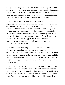on my heart. They had become a part of me. Today, more than seventy years later, you may wake me in the middle of the night while a thunderstormis raging and ask me, "What is seven times seven?" Although I may wonder why you are asking me this, I will reply without effort or hesitation, "Forty-nine."

In the same way, we may have the Word of God indelibly imprinted on our hearts. Each time a need arises, or our faith is challenged, we may confess God's Word as it applies to that situation. At first, there may be a struggle. Our feelings may prompt us to say something that does not agree with God's Word. But we must persistently resist our feelings and make the words of our mouths agree with God's Word. Eventually there will be no more struggle. It will be natural for us to say with our mouths, concerning each situation, the same thing that God says in His Word.

It is essential to distinguish between faith and feelings. Feelings are based on our senses. Many times their conclusions are contrary to God's Word. But faith, as we have already seen, connects us to the invisible realmof God and His Word. Whenever faith and feelings come into conflict, we must determine that, by confession, we will take our stand with faith, not feelings.

There are three words, each beginning with the letter f, that we must put in their right order: facts, faith, feelings. The facts are found in the Word of God, and they never vary. Faith takes its stand with the facts of God's Word and confesses themas true. Feelings may waver, but ultimately, if faith stands fast,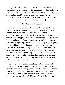feelings will come into line with the facts. On the other hand, if we start at the wrong end—with feelings rather than facts—we will always end up in trouble. Our feelings change hour by hour and moment by moment. If we base our lives on our feelings, our lives will be as unstable as our feelings are. "The righteous man shall live by faith" (Romans 1:17)—not feelings!

### Five Practical Safeguards

This practice of persistently making the right confession with our mouths is very effective and very powerful. However, if perverted, it can lead to abuses that are spiritually dangerous. For instance, it may degenerate into a "mind over matter" type of approach. Such an approach was taught by the French philosopher Coue, whose remedy for life's problems was to keep repeating, "Every day and in every way I'mgetting better and better." Another danger is that a zealous but immature Christian may imagine that he has found a way to twist God's arm, a way to compel the Almighty to meet his demands. Or, again, our concept of God may be reduced to a kind of heavenly vending machine that needs only the right coin in the right slot to deliver the particular brand of carnal satisfaction that we select.

To avoid abuses of this kind, I suggest five scriptural safeguards. The first safeguard is this: We need to examine the attitudes with which we approach God. The writer of Hebrews made the following comment about the prayer that Jesus offered in the garden of Gethsemane: "He was heard because of his reverent submission" (Hebrews 5:7 niv). Jesus' attitude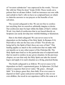of "reverent submission" was expressed in the words, "Yet not My will, but Thine be done" (Luke 22:42). These words set a pattern that we all must follow. Until we renounce our own wills and submit to God's will, we have no scriptural basis on which to claimthe answers to our prayers or the benefits of our salvation.

The second safeguard is this: We are not free to confess just anything that we ourselves arbitrarily imagine or desire. Our confession must be kept within the limits of God's written Word. Any kind of confession that is not based directly on Scripture can easily develop into wishful thinking or fanaticism.

Here is the third safeguard: We can never cease to be dependent on the leading of the Holy Spirit. In Romans 8:14, Paul told us who are the true sons of God: "For all who are being led by the Spirit of God, these are sons of God." This leading applies as much to the confession that we make with our mouths as to any other aspect of the Christian life. The Holy Spirit must lead us to the particular area of scriptural truth that we need to confess in any given situation. In the previous chapter, we saw that only the Holy Spirit can take the eternal logos and apply it to each situation as a living, practical rhema.

The fourth safeguard is as follows: We never cease to be dependent on God's supernatural grace. In Ephesians 2:8, Paul stated a sequence that never varies: "By grace…through faith." It is always grace first, then faith. If we ever cease to depend on God's grace and power and begin to rely on our own abilities, the result in our experience will be the same as it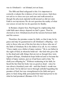was in Abraham's—an Ishmael, not an Isaac.

The fifth and finalsafeguard is this: It is important to correctly evaluate the evidence of our own senses. God does not ask us to close our eyes and ears and walk around as though the physical, material world around us did not exist. Faith is not mysticism. We do not question the reality of what our senses reveal, but we do question its finality.

In Romans chapter four, Paul began by emphasizing that valid faith must always depend on God's grace. Then he showed us how Abrahamresolved the tension between faith and the senses:

Therefore, the promise comes by faith, so that it may be by grace and may be guaranteed to all Abraham's offspring—not only to those who are of the law but also to those who are of the faith of Abraham. He is the father of us all. As it is written: "I have made you a father of many nations." He is our father in the sight of God, in whomhe believed—the God who gives life to the dead and calls things that are not as though they were. Against all hope, Abrahamin hope believed and so became the father of many nations, just as it had been said to him, "So shall your offspring be." Without weakening in his faith, he faced the fact that his body was as good as dead—since he was about a hundred years old—and that Sarah's womb was also dead. Yet he did not waver through unbelief regarding the promise of God, but was strengthened in his faith and gave glory to God, being fully persuaded that God had power to do what he had promised. (Romans 4:16–21 niv)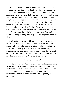Abraham's senses told himthat he was physically incapable of fathering a child and that Sarah was likewise incapable of bearing one. Yet God had promised thema son of their own. Abrahamdid not pretend that what his senses revealed to him about his own body and about Sarah's body was not real. He simply refused to accept it as final. When God's word promised himone thing and his senses told himanother, he clung tenaciously to God's promise without letting his senses cause himto doubt that promise. Finally, after their faith had been tested, the physical conditions both of Abraham's body and Sarah's body were brought into line with what God had promised. They actually became physically capable of having a child.

It will be the same way with us. There may be a period of conflict between the statements of God's Word and what our senses tell us about a particular situation. But if our faith is valid, and if we cling to it as Abrahamdid, steadfastly maintaining the right confession, in due course the physical condition confronting us through our senses will be brought into line with what God's Word has to say about it.

Confessing unto Salvation

We have seen that Paul concluded his teaching in Romans 10:8–10 with the statement, "With the mouth confession is made unto salvation" (verse 10 kjv). The word "unto" indicates motion, or progress. In other words, we move progressively forward into salvation as we continue making the right confession.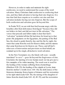However, in order to make and maintain the right confession, we need to understand the scope of the word salvation. Many Christians limit confession to confessing their sins, and they limit salvation to having their sins forgiven. It is true that God does require us to confess our sins and that salvation includes having our sins forgiven. But the scope of both confession and salvation goes far beyond this.

In Psalm78:22, we are told that God became angry with the Israelites after their deliverance fromEgypt "because they did not believe in God, and did not trust in His salvation." The verses that precede and follow make it clear that God's "salvation" included all that He had done for Israel up to that point: His judgments on the Egyptians, the parting of the Red Sea, the cloud to guide themby day and the fire by night, the water that came fromthe rock for themto drink, and the manna that came fromheaven for themto eat. These, and all God's other acts of intervention and provision on their behalf, are summed up in the single, all-inclusive word salvation.

In the New Testament, too, the Greek verb sozo—usually translated "to save"—goes far beyond the forgiveness of sins. It includes the meeting of every human need. Let me give just a few examples of its wider meaning. The word sozo is used for the healing of the woman suffering froma hemorrhage (Matthew 9:20–22); the healing of the cripple at Lystra, lame fromhis mother's womb (Acts 14:8–10); the deliverance of the Gerasene demoniac froma legion of demons and his restoration to his right mind (Luke 8:26–36); the raising of the daughter of Jairus fromthe dead (Luke 8:41–42, 49–55); and the restoration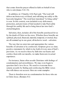that comes fromthe prayer offered in faith on behalf of one who is sick (James 5:14–15).

In addition, in 2 Timothy 4:18, Paulsaid, "The Lord will deliver me fromevery evil deed, and will bring me safely to His heavenly kingdom." The word here translated "to bring safely" is sozo. In this context, sozo included every deliverance, protection, and provision of God needed to take Paulsafely through his earthly life and to bring himat last into God's eternal kingdom.

Salvation, then, includes all of the benefits purchased for us by the death of Christ on the cross. Whether these benefits are spiritual, physical, financial, material, temporal, or eternal, they are allsummed up in one great, all-inclusive word—salvation.

The way that we enter into and appropriate the various benefits of salvation is by confession. Scripture gives us clear, positive statements by which to lay hold of every area of God's provision. As we receive these by faith into our hearts and confess themwith our mouths, we make themours in actual experience.

For instance, Satan often assails Christians with feelings of condemnation and unworthiness. We may even begin to question God's love for us. We need to overcome these satanic assaults by finding and confessing the Bible verses that will silence our accuser. Here are some examples:

There is therefore now no condemnation for those who are in Christ Jesus. (Romans 8:1)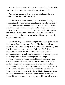But God demonstrates His own love toward us, in that while we were yet sinners, Christ died for us. (Romans 5:8)

And we have come to know and have believed the love which God has for us.(1 John 4:16)

On the basis of these verses, I can make the following personal confession: "I amin Christ Jesus; therefore, I amnot under condemnation. God proved His love for me by the fact that Christ died for me while I was still a sinner. I know and believe the love that God has for me." As I resist all negative feelings and maintain this positive, scriptural confession, condemnation and rejection are replaced in my experience by peace and acceptance.

Your need may be in the area of physical healing and health. Scripture tells us, concerning Jesus, "He himself took our infirmities, and carried away our diseases" (Matthew 8:17), and "By His wounds you were healed" (1 Peter 2:24). These statements provide the basis for the confession that is appropriate in this area. Every time sickness threatens, instead of letting my mind dwell on the symptoms, I respond with a positive confession: "Jesus Himself took my infirmities and carried away my diseases, and by His wounds I was healed." At first I might waver, caught in the tension between the symptoms of my physical body and the unchanging truths of God's Word. But as I continue to confess God's truth, it becomes a part of me—just like the multiplication tables. Even if I wake up in the middle of the night with the symptoms of three different diseases in my body, my spirit can still make the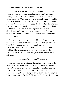right confession: "By His wounds I was healed."

If my need is in yet another area, then I make the confession that is appropriate to that area. For instance, if I amgoing through a period of financialshortage, I remind myself of 2 Corinthians 9:8: "And God is able to make all grace abound to you, that always having allsufficiency in everything, you may have an abundance for every good deed." I refuse to entertain my fears. I conquer fear by thanksgiving. I continue to thank God that the revealed level of His provision for me is abundance. As I maintain this confession, I see God intervene in such a way that the truth of His Word is made real in my financialsituation.

Progressively—area by area, need by need, situation by situation—"confession is made unto salvation" (Romans 10:10 kjv). Each problemthat we encounter becomes a stimulus to make the confession that declares God's answer to that problem. The more complete and consistent our confessions, the more fully we enter into the experiential enjoyment of our salvation.

### The High Priest of Our Confession

One major, distinctive theme throughout the epistle to the Hebrews is the high priesthood of Jesus Christ. As a high priest, Jesus ministers as our personal representative in the presence of God the Father. He covers us with His righteousness, offers up our prayers, presents our needs, and becomes the surety for the fulfillment of God's promises on our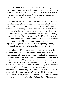behalf. However, as we trace this theme of Christ's high priesthood through the epistle, we discover that it is invariably linked to our confession. The confession that we make on earth determines the extent to which Jesus is free to exercise His priestly ministry on our behalf in heaven.

In Hebrews 3:1, we are exhorted to consider Jesus Christ as the "High Priest of our confession." This links Christ's high priesthood directly to our confession. It is our confession that makes His priestly ministry effective on our behalf. Each time we make the right confession, we have the whole authority of Christ as our High Priest behind us. He becomes the surety for the fulfillment of what we confess. But if we fail to make the right confession, or if we confess doubt or unbelief rather than faith, then we give Christ no opportunity to minister as our High Priest. Right confession invokes His priestly ministry on our behalf, but wrong confession shuts us off fromit.

In Hebrews 4:14, the writer again linked the high priesthood of Jesus directly to our confession: "Since then we have a great high priest who has passed through the heavens, Jesus the Son of God, let us hold fast our confession." The emphasis here is on firmly holding on to our confession. Once we have brought the words of our mouths into agreement with God's written Word, we must be careful not to change or go back to a position of unbelief. Many pressures may come against us. It may seemthat things are going precisely contrary to what we expected. All natural sources of help may fail. But by our faith and our confession, we must continue to hold on to the things that do not change: the Word of God and Jesus Christ as our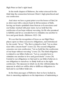High Priest at God's right hand.

In the tenth chapter of Hebrews, the writer stressed for the third time the connection between Christ's high priesthood and our confession:

And since we have a great priest over the house of God, let us draw near with a sincere heart in full assurance of faith, having our hearts sprinkled clean froman evil conscience and our bodies washed with pure water. Let us hold fast the confession of our hope without wavering, for He who promised is faithful; and let us consider how to stimulate one another to love and good deeds. (Hebrews 10:21–24)

We see that the recognition of Jesus as our High Priest places upon us three successive obligations, each introduced by the words "let us." The first is related to God: "Let us draw near with a sincere heart" (verse 22). The second obligation concerns our own confession: "Let us hold fast the confession of our hope without wavering" (verse 23). The third obligation is related to our fellow believers: "Let us consider how to stimulate one another to love and good deeds" (verse 24). Central to our obligations to God and to our fellow believers is our obligation to ourselves: to firmly hold on to the right confession. The measure in which we do this will determine the measure in which we will be able to fulfill our obligations to God and to our fellow believers.

In the three passages of Hebrews that we have looked at, there is mounting emphasis on the importance of maintaining a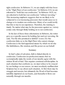right confession. In Hebrews 3:1, we are simply told that Jesus is the "High Priest of our confession." In Hebrews 4:14, we are exhorted to "hold fast our confession." In Hebrews 10:23, we are exhorted to hold fast our confession "without wavering." This increasing emphasis suggests that we are likely to be subjected to ever increasing pressures that would cause us to change or to weaken our confession. Many of us could testify that this is true in our experience. Therefore, the warning is timely. No matter what may be the pressures against us, victory comes only through firmly holding on to our confession.

In the last of these three exhortations in Hebrews, the writer gave us a specific reason for holding fast and not wavering. He said, "For He who promised is faithful" (verse 23). Our confession links us to the High Priest who cannot change. Confession is the God-appointed means by which we invoke His faithfulness, His wisdom, and His power on our behalf.

#### Summary

In God's plan of salvation, faith is linked directly to confession. Confession (or profession) means that we systematically make the words of our mouths agree with the written Word of God. This requires continual self-discipline. In each situation that confronts us, we must refuse to be swayed by our feelings or our senses; we must resolutely reaffirmwhat Scripture has to say about each situation. At first there may be struggle and tension, but ultimately the Word of God becomes indelibly imprinted on our hearts, and thereafter it flows out naturally through our mouths.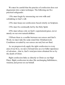We must be careful that the practice of confession does not degenerate into a mere technique. The following are five practical safeguards:

1.We must begin by renouncing our own wills and submitting to God's will.

2.We must keep our confessions based strictly on Scripture.

3.We must be continually led by the Holy Spirit.

4.We must always rely on God's supernatural grace, never merely on our own natural abilities.

5.Where there is a conflict between our senses and God's Word, we must take the same stand that Abrahamtook: Conditions revealed by our senses are real, but not final.

As we progressively apply the right confession to every area of our lives, we move forward into an ever fuller experience of salvation—that is, God's total provision obtained for us by the death of Christ.

Right confession links us directly to Christ as our High Priest. Right confession invokes His unchanging faithfulness, wisdom, and power on our behalf.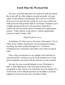# **Faith Must Be Worked Out**

We have seen that faith must be confessed with the mouth. But is that all? So often religious people are guilty of using empty words without real meaning. How can we avoid this? How can we be sure that the words we use in our confession really proceed fromgenuine faith in our hearts? Scripture gives a simple, practical answer to this question: Faith that is confessed with the mouth must be backed up by appropriate actions. "Faith without works [that is, without appropriate actions] is dead" (James 2:26).

### Faith Works by Love

In Galatians 5:6, Paul went to the heart of the matter: "For in Christ Jesus neither circumcision nor uncircumcision means anything, but faith working through love." Paul here established four vital points that follow each other in logical order.

First, using circumcision as an example, Paulsaid that no outward ritual or ceremony can by itself commend us to God. God is primarily concerned with the internal, not the external.

Second, the one essential element in true Christianity is faith. A faith-filled heart is the only kind of heart that is acceptable to God. There is no substitute for it! In chapter five of this book, I have already pointed out the Bible's insistent emphasis on the necessity and centrality of faith.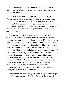Third, Paul told us that faith works. The very nature of faith is to be active. Where there is no appropriate activity, there is no genuine faith.

Fourth, the way in which faith naturally acts is by love. Where there is no love manifested, there is no genuine faith. Love is essentially positive, strengthening, comforting, and edifying. Where actions are all negative, critical, and uncharitable, there is no evidence of love and therefore none of faith. Such actions may perhaps proceed fromreligion, but certainly not fromfaith.

One book of the New Testament that emphasizes the relationship between faith and works is the epistle of James. Some commentators suggest that there is a difference between James's view of faith and Paul's view of faith. They say that Paul emphasized salvation by faith alone, without works, while James asserted that faith must be expressed by works. Personally, I find no contradiction, only two opposite sides of the same truth. We are justified by faith without works, because there are no works we can do that will earn us righteousness. But once we are justified by faith without works, a valid faith will naturally express itself through works. So Paul told us how to receive righteousness fromGod, and James told us what results follow when we receive righteousness fromGod. I see no conflict between these two views, only a difference of emphasis.

Furthermore, it is completely wrong to suggest that Paul put no emphasis on works. In Galatians 5:6, as we have already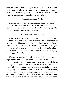seen, he showed that the very nature of faith is to work—and to work through love. He brought out the same truth in the famous thirteenth chapter of 1 Corinthians, known as the Love Chapter, and in many other places in his writings.

# James Emphasized Works

The main part of James's teaching concerning faith and works is contained in chapter two of his epistle, verses fourteen through twenty-six. I will divide this passage up into sixmain sections and analyze each in order.

### Confession without Action

What use is it, my brethren, if a man says he has faith, but he has no works? Can that faith save him? If a brother or sister is without clothing and in need of daily food, and one of you says to them, "Go in peace, be warmed and be filled," and yet you do not give themwhat is necessary for their body, what use is that? Even so faith, if it has no works, is dead, being by itself.(James 2:14–17)

We need to see that James is here describing a man who says he has faith. The man claims to have faith, but his behavior contradicts his claim. Confronted by a fellow believer in desperate physical need, this man merely offers words of comfort but does nothing practical to help. His failure to act in the appropriate way shows that his words of comfort are empty and insincere. The same principle applies to our profession, or confession, of faith. If it is not followed by appropriate actions, then all we have is a lifeless formof words, without any inner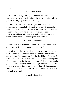reality.

# Theology versus Life

But someone may wellsay, "You have faith, and I have works; show me your faith without the works, and I will show you my faith by my works."(James 2:18)

I always accept this verse as a personal challenge. Do I have a faith that is a mere abstract theology, or do I demonstrate what I believe by what I do? The world has grown tired of faith presented as an abstract diagram; it is eager to see it in the formof a working model. My personal conviction is that a theology that does not work in practice is not valid.

# The Devil's Orthodoxy

Thou believest that there is one God; thou doest well: the devils also believe, and tremble. (verse 19 kjv)

It is highly orthodoxto believe that there is only one true God. But this is not enough. Even the demons believe that and shudder! I amconvinced that the devil himself believes the whole Bible. He is much more orthodox than many theologians! What, then, is missing in faith such as this? The answer can be given in one word: obedience! Although Satan and his demons believe in one true God, they persist in their rebellion against Him. True faith leads to submission and obedience. Otherwise, our faith is in vain!

The Example of Abraham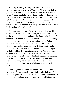But are you willing to recognize, you foolish fellow, that faith without works is useless? Was not Abrahamour father justified by works, when he offered up Isaac his son on the altar? You see that faith was working with his works, and as a result of the works, faith was perfected; and the Scripture was fulfilled which says, "And Abrahambelieved God, and it was reckoned to himas righteousness," and he was called the friend of God. You see that a man is justified by works, and not by faith alone.(James 2:20–24)

James now turned to the life of Abrahamto illustrate his point. To follow what he was saying, we need to look at some of the main incidents in Abraham's life. In Genesis 11:31–12:7, God called Abrahamto leave Ur of the Chaldeans in order to go to a land that he was to receive as an inheritance. When Abrahamobeyed, God led himto the land of Canaan. In Genesis 15, Abrahamcomplained to God that he still had no heir, no son from his own body, to inherit the land. In reply, God showed himthe stars at night and said, "So shall your descendants be" (verse 5). Abraham's response is recorded in Genesis 15:6: "Then he believed in the Lord; and He reckoned it to himas righteousness." At this point, God reckoned Abrahamas being righteous, not on the basis of any good works that he had done, but solely because he had believed God.

However, James pointed out that this was not the end of Abraham's faith relationship with God. Having believed God and having had righteousness reckoned to himon the basis of faith alone, Abrahamthen went on to work out his faith in a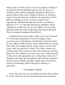whole series of actions. In the next seven chapters of Genesis, we find that God led Abrahamstep-by-step, in one act of obedience after another, gradually maturing his faith over a period of about forty years. Finally, in Genesis 22, Abraham came to the point where he could face the supreme test of his faith: the offering up of his son Isaac on God's altar. Figuratively, Abrahamdid make the sacrifice, according to Hebrews 11:17–19. Although God did not ultimately require Abrahamto sacrifice his son, he was willing to do so, being fully persuaded that God would bring Isaac back to life again. Thus he emerged triumphant fromthe test.

Abrahamhad not been ready to meet such a test in Genesis 15. It took many preparatory tests and struggles, many successive acts of obedience, to bring himto the point where he was willing to offer up Isaac. James explained this by saying that "faith was working with his works, and as a result of the works, faith was perfected" (James 2:22). Faith is always the starting point. There can be no other. Once faith has come into being, it is then worked out in successive tests. Faith responds to these tests with appropriate acts of obedience. Each act of obedience develops and strengthens faith and thus prepares it for the next test. Finally, through a whole series of such tests and acts of obedience, faith is brought to maturity, or perfection.

### The Example of Rahab

And in the same way was not Rahab the harlot also justified by works, when she received the messengers and sent them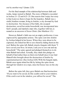out by another way? (James 2:25)

For his final example of the relationship between faith and works, James turned to Rahab. The story of Rahab is recorded in Joshua 2:1–22 and 6:21–25. One reason that I enjoy her story is that it proves there is hope for the hopeless. Rahab was a sinful, heathen woman, living in Jericho, a city doomed by God to destruction. Yet, because of her faith, she escaped destruction, saved her entire household, was incorporated into God's people, and married a man who, together with her, is named as an ancestor of Jesus Christ. (See Matthew 1:5.)

However, Rahab's faith was not an empty profession; it was expressed by appropriate actions. The spies sent into Jericho by Joshua lodged in her house. When they were about to be captured, she risked her life to save themby hiding themon the roof. Before the spies left, Rahab struck a bargain with them: "I have saved your lives. In return, I ask you to save me and my household." The spies agreed and pledged themselves to do what Rahab had asked. Actually, they made this pledge on behalf of God rather than on their own behalf since it was God Himself who brought about the destruction of Jericho by supernatural power. (See Joshua 6:20.) With the bargain made, Rahab once again risked her life by letting the spies down through her window on a rope, since her house was on the city wall.

Before the spies left, they gave Rahab one final instruction: "If you want to be saved, tie this scarlet cord to your window. If the cord is not in the window, you will not be saved." The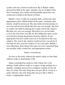scarlet cord was a formof confession. By it, Rahab visibly showed her faith in the spies' promise. For us, in light of the New Testament, the scarlet cord beautifully represents our confession of faith in the blood of Christ.

Rahab's story vividly ties together faith, confession, and appropriate action. Rahab believed the spies' testimony that Jericho would be destroyed. She also believed their promise to save her and her household. But that was not enough. She had to confess her faith by placing the scarlet cord in the window. But that, too, was not enough. She had to act out her faith, even at the risk of her own life, by first hiding the spies on her roof and then letting themdown fromher window. It was appropriate that the scarlet cord was to be placed in that very window. The cord in the window would not have saved her if she had not also used the window to save the spies. Rahab's story illustrates three things that must never be separated from one another: faith, confession, and appropriate action.

### James's Conclusion

For just as the body without the spirit is dead, so also faith without works is dead.(James 2:26)

James concluded his analysis with a blunt, but vivid analogy: Faith without works is a corpse. It may perhaps be a mummy, solemnly preserved in a religious setting, but for all that, it is dead. The only thing that can give life to a body is a spirit. Likewise, the only thing that can give life to faith is works, or appropriate actions.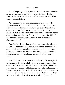In the foregoing analysis, we saw how James used Abraham as his primary example of faith combined with works. In Romans, Paul also set Abrahambefore us as a pattern of faith that we should follow:

And he received the sign of circumcision, a seal of the righteousness of the faith which he had while uncircumcised, that he might be the father of all who believe without being circumcised, that righteousness might be reckoned to them, and the father of circumcision to those who not only are of the circumcision, but who also follow in the steps of the faith of our father Abrahamwhich he had while uncircumcised. (Romans 4:11–12)

First, Paul explained that Abrahamwas not made righteous by the act of circumcision. Rather, he received circumcision as an outward seal of the righteousness that had already been reckoned to himon the basis of faith alone. The inference is that circumcision, unless based on faith, is of no value by itself.

Then Paul went on to say that Abraham, by his example of faith, became the father of all subsequent believers, whether circumcised or uncircumcised. However, Paul also laid down a condition that we must all fulfill, regardless of racial or religious background, if we claimto be Abraham's spiritual descendants. It is that we "also follow in the steps of the faith of our father Abrahamwhich he had while uncircumcised" (verse 12).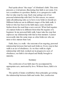Paulspoke about "the steps" of Abraham's faith. This term presents a vivid picture, illustrating that faith is not static. It is not a condition or a position. Rather, it is a progressive walk that we take step-by-step. Each step springs out of our personal relationship with God. For this reason, we cannot make all-embracing rules as to how every believer should act. Different believers are in different stages of the faith walk. A believer who has been in the faith many years should be further down the road than a new convert. What God requires of a mature believer is different fromwhat He requires of a beginner. In my personal faith walk, I must take the step that expresses my relationship with God at that moment. I cannot necessarily take the same steps as other believers who are more or less mature than I am.

Faith, then, is a walk—the outcome of an ongoing, personal relationship between God and each believer. Every step in that walk is an act of obedience. As we thus walk in a right relationship with God, worked out in progressive acts of obedience, our faith is developed and finally brought to maturity.

#### Summary

The confession of our faith must be accompanied by appropriate acts, motivated by love. Without these, faith is in vain.

The epistle of James establishes three principles governing the relationship between faith and works: first, confession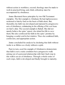without action is worthless; second, theology must be made to work in practical living; and, third, orthodoxy must be accompanied by obedience.

James illustrated these principles by two Old Testament examples. The first example is Abraham. He had righteousness reckoned to himby God on the basis of faith alone. But, thereafter, his faith was developed and matured by progressive acts of obedience, culminating in the offering of his son Isaac on God's altar. The second example is Rahab. She did not merely believe the spies' report; she risked her life to save them. She also confessed her faith in the spies' promise by hanging a scarlet cord in her window. Thus she combined faith, confession, and appropriate action.

James concluded his analysis by declaring that faith without works is as lifeless as a body without a spirit.

Paul, in turn, used the example of Abrahamto demonstrate that faith is not a static condition but a progressive walk arising out of a personal relationship with God. Each step in this walk is an act of obedience. Through a whole series of such steps, faith is developed and finally brought to maturity.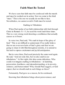# **Faith Must Be Tested**

We have seen that faith must be confessed with the mouth and must be worked out in action. Now we come to the third "must." This is the one we usually do not like to face. Nevertheless, we cannot avoid it: Faith must be tested.

Exulting in Tribulation

When Paulspoke of our faith relationship with God through Christ in Romans 5:1–11, he used the word exult three times. This is a very strong word denoting a confidence that actually causes us to boast.

In verse two, Paulsaid, "We exult in hope of the glory of God." This is not difficult to understand. If we really believe that we are even now heirs of God's glory and that we are going to share it with Himthroughout eternity, it is natural to feel and to express excitement and joyful anticipation.

But in verse three, Paul used precisely the same word again. He said, "And not only this, but we also exult in our tribulations." At first sight, this idea seems ridiculous. Who could ever imagine exulting in tribulations—in hardship, persecution, loneliness, and misunderstanding, or in poverty, sickness, and bereavement? Why should Paulsuggest, or God expect, that we should exult in such things as these?

Fortunately, Paul gave us a reason, for he continued,

Knowing that tribulation brings about perseverance; and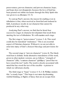perseverance, proven character; and proven character, hope; and hope does not disappoint, because the love of God has been poured out within our hearts through the Holy Spirit who was given to us.(Romans 5:3–5)

To sumup Paul's answer, the reason for exulting even in tribulation is that, when received as fromGod and endured in faith, it produces results in our character that cannot be produced in any other way.

Analyzing Paul's answer, we find that he listed four successive stages in character development that result from meeting the test of tribulation. We will examine each stage.

The first stage is "perseverance" (verses 3–4). This word could also be translated "endurance." This is an essential aspect of Christian character. Without it, we are not able to enter into many of God's choicest blessings and provisions for us.

The second stage is "proven character" (verse 4). The Greek word here is dokime. Some alternative translations of this word, given in other modern versions, are as follows: "strength of character" (tlb); "a mature character" (phillips); "proof that we have stood the test" (neb). The word is closely associated with metal that has stood the test of the crucible—a picture to which we will return shortly.

The third stage is "hope" (verses 4–5). J. B. Phillips renders this "a steady hope." This hope is not mere daydreaming, wishful thinking, or flights of fancy that are an escape from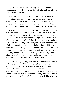reality. Hope of this kind is a strong, serene, confident expectation of good—the good that will ultimately result from the process of testing.

The fourth stage is "the love of God [that] has been poured out within our hearts" (verse 5), which, far frombeing a disappointment, greatly exceeds any hope we could ever have entertained. Thus, God's final objective in dealing with our character is to bring us into the enjoyment of His divine love.

Moving on to verse eleven, we come to Paul's third use of the word exult: "And not only this, but we also exult in God through our Lord Jesus Christ." Here again, we have a divine objective. God is not satisfied that our joy or our confidence should rest merely in what He has done for us, no matter how wonderful His blessings, His gifts, and His provisions may be. God's purpose is that we should find our final and highest satisfaction in nothing and in no one but Himself. Without the process of character development already outlined, this would not be possible. It is a sure mark of spiritual maturity when God Himself, and God alone, becomes both the source of our deepest joy and the object of our highest devotion.

It is interesting to compare Paul's teaching here in Romans 5 with his teaching in 1 Corinthians 13, the famous chapter on divine love. In Romans, Paulshowed us that the way to enter into the fullness of divine love is by perseverance, or endurance. In 1 Corinthians 13, he put it the other way around. He told us that love is the only thing strong enough to endure every test: "Love…bears all things, believes all things, hopes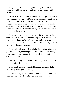all things, endures all things" (verses 4, 7). Scripture thus forges a bond between love and endurance that cannot be severed.

Again, in Romans 5, Paul presented faith, hope, and love as three successive phases of Christian experience: Faith leads to hope, and hope leads to love. In 1 Corinthians 13:13, he presented the same three qualities in the same order, but he emphasized that, while each is of permanent value, love is the greatest: "But now abide faith, hope, love, these three; but the greatest of these is love."

As we contemplate these three beautiful qualities in the mirror of God's Word, we need to keep the eyes of our hearts fastened on themuntil they become an enduring part of our own characters. In this way, the truth of the following verse is worked out in our experience:

But we all, with unveiled face beholding as in a mirror the glory of the Lord, are being transformed into the same image fromglory to glory, just as fromthe Lord, the Spirit.(2 Corinthians 3:18)

"Fromglory to glory" means, at least in part, fromfaith to hope, and fromhope to love.

In his epistle, James presented the same concept, that is, faith being developed by testing:

Consider it all joy, my brethren, when you encounter various trials, knowing that the testing of your faith produces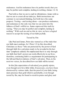endurance. And let endurance have its perfect result, that you may be perfect and complete, lacking in nothing. (James 1:2–4)

Paul told us that we are to exult in tribulations; James told us that we are to count all our trials joy. Both instructions are contrary to our natural thinking, but both have the same purpose. Testing—and testing alone—can produce endurance, and endurance is the only way that we can enter into the fullness of God's will for us. James expressed this truth by saying, "That you may be perfect and complete, lacking in nothing." With such an end as this in view, we have a logical reason to accept the testing of our faith joyfully.

### Tested by Fire

Like Paul and James, Peter also warned us of the trials that our faith must undergo. In 1 Peter 1:5, he first described Christians as those "who are protected by the power of God through faith for a salvation ready to be revealed in the last time" (emphasis added). He emphasized that it is only through our faith that God's power can work effectively in our lives; therefore, continuing faith is a requirement for participating in the full and final revelations of God's salvation. Then, in the next two verses, he described how our faith will be tested:

In this [the expectation of salvation] you greatly rejoice, even though now for a little while, if necessary, you have been distressed by various trials, that the proof of your faith, being more precious than gold which is perishable, even though tested by fire, may be found to result in praise and glory and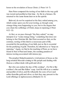honor at the revelation of Jesus Christ. (1 Peter 1:6–7)

Here Peter compared the testing of our faith to the way gold was tested and purified at that time—by fire in a furnace. He returned to the same theme later on in the epistle:

Beloved, do not be surprised at the fiery ordeal among you, which comes upon you for your testing, as though some strange thing were happening to you; but to the degree that you share the sufferings of Christ, keep on rejoicing.(1 Peter 4:12–13)

At first, as we pass through "the fiery ordeal," we may interpret it as "some strange thing," something that does not belong to the Christian life. But Peter assured us that, on the contrary, testing of this kind is a necessary part of life, essential for the purifying of our faith, just as fire is essential for the purifying of gold. Therefore, he exhorted us to "keep on rejoicing." Again, we find in the teaching of Peter, as we have found in that of Paul and James, the seeming paradoxof intense testing associated with intense joy.

The prophet Malachi painted a vivid picture of Jesus as the long-awaited Messiah coming to His people and dealing with themas a refiner deals with gold and silver:

But who can endure the day of His coming?…For He is like a refiner's fire and like fullers' soap. And He willsit as a smelter and purifier of silver, and He will purify the sons of Levi and refine themlike gold and silver, so that they may present to the Lord offerings in righteousness.(Malachi 3:2–3)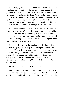In purifying gold and silver, the refiner of Bible times put the metal in a melting pot over the hottest fire that he could produce. He usually built the fire in some formof a clay oven and used bellows to fan the flame. As the metal was heated in the pot, the dross—that is, the various impurities—was forced to the surface and was skimmed off by the refiner. (See Proverbs 25:4.) This process continued until all impurities had been removed and nothing but the pure metal was left.

It has been said that the refiner, bending over the metal in his pot, was not satisfied that it was completely pure until he could see his own image accurately reflected in its surface. In the same way, the Lord, who is our Refiner, continues to apply the fires of testing to us until He sees His own image reflected without distortion in our lives.

Trials or afflictions are the crucible in which God refines and purifies His people until they meet the requirements of His holiness. Various Old Testament prophets applied this picture very beautifully to the remnant of Israel who are destined to survive God's judgments and be restored to His favor. For example, in Isaiah 48:10, God says to them, "Behold, I have refined you, but not as silver; I have tested you in the furnace of affliction."

Again, He says in the book of Zechariah,

And I will bring the third part through the fire, refine themas silver is refined, and test themas gold is tested. They will call on My name, and I will answer them; I willsay, "They are My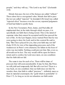people," and they willsay, "The Lord is my God." (Zechariah 13:9)

Metals that pass the test of the furnace are called "refined." These alone have a recognized value. Metals that fail to pass the test are called "rejected." In Jeremiah 6:30, Israel was called "rejected silver" because even the severe, repeated judgments of God had failed to purify them.

In the New Testament, Peter, James, and Paul alike all emphasized that, in the trials through which we pass, it is specifically our faith that is being tested. This is the metal of supreme value that cannot be accepted until it has passed the test of fire. At the Last Supper, Jesus warned Peter that he was soon going to deny his Lord, and in this context He said to him, "But I have prayed for you, that your faith may not fail" (Luke 22:32). In view of the impending pressures and of the weaknesses in Peter's own character, his failure in the hour of crisis was inevitable. Nothing could prevent that. But, even so, all would not be lost. The way would still be open for himto return and to confess his Lord once more, on one condition: that his faith did not fail.

The same is true for each of us. There will be times of pressure that willseemunendurable. It may be that, like Peter, we will yield and temporarily fail. But all is not lost! There is a way back, on one condition: that our faith does not fail. No wonder, then, that faith is called "precious"—infinitely more so than its material counterpart, the "gold which is perishable" (1 Peter 1:7). As long as we do not abandon our faith under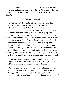pressure, we will be able to echo the words of Job in his hour of testing and apparent disaster: "But He [God] knows the way I take; when He has tried me, I shall come forth as gold" (Job 23:10).

# Two Kinds of Tests

In Matthew 13, the parable of the sower describes the response of four different kinds of people to the message of God's Word. The seed that fell by the roadside represents people who never received the message into their hearts at all. The seed that fell on good ground represents people who received the message into their hearts and, in due course, by faith and obedience, brought forth enduring fruit. But, between these two groups, Jesus described two other types of people. They are represented by the seed that fell on rocky places and the seed that fell among thorns. People in these two groups received the message into their hearts but later failed to meet the conditions for producing good, enduring fruit. We may say of both groups, therefore, that they failed to pass the tests to which they were subjected after initially receiving God's Word.

What kind of test is represented by each of these two groups? Let us look at the seed that fell on rocky places. Jesus said this about the person represented by the rocky soil:

And the one on whomseed was sown on the rocky places, this is the man who hears the word, and immediately receives it with joy; yet he has no firmroot in himself, but is only temporary, and when affliction or persecution arises because of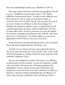the word, immediately he falls away. (Matthew 13:20–21)

The exact words that Jesus used here are significant. He did not say, "If affliction or persecution arises," but "When affliction or persecution arises." In other words, affliction and persecution are sure to come, at some time or other, to everyone who receives God's Word. The question for each of us is not whether we will have to face these things, but whether our characters will have been so formed that we will come through themvictorious, with our faith intact. For this, we must allow God's Word to penetrate even into the depths of our hearts, bringing everything into line with His will. There must be no "rocky places" anywhere within us to resist the application of the Word to every area of our lives.

What about the seed that fell among thorns? Jesus said this about the person represented by the thorny soil:

And the one on whomseed was sown among the thorns, this is the man who hears the word, and the worry of the world, and the deceitfulness of riches choke the word, and it becomes unfruitful. (Matthew 13:22)

The test that eliminates people of this type is not affliction or persecution. On the contrary, it is just the opposite: worldly cares and riches. The pressures of human popularity and materialistic success choke out the truth of God that such people have received. In the end, God's truth has no effect on their lives. Instead of being transformed into the likeness of Christ, they become conformed to the unbelieving, Christ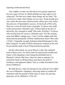rejecting world around them.

Very simply, we may say that these two groups represent the two types of tests to which all believers may expect to be subjected. The first test comes when things are too hard. The second test comes when things are too easy. Some people give way under the pressure of persecution; others give way under the pressure of materialistic success. In the book of Proverbs, there are verses for both types of people. To those who yield under persecution, Solomon said, "If thou faint in the day of adversity, thy strength is small" (Proverbs 24:10 kjv). To those who are led away by success, Solomon said, "For the turning away [my Bible's margin says, "ease"] of the simple shallslay them, and the prosperity of fools shall destroy them" (Proverbs 1:32 kjv). Tragically enough, Solomon himself belonged to this latter category. In spite of all his God-given wisdom, in the end his prosperity made a fool of himand destroyed him.

On the other hand, we see in Moses a man who endured both of these tests. For forty years he enjoyed the wealth and luxury of the Egyptian court, being the probable heir to Pharaoh's throne. But then, when he came to maturity, he turned his back on all that luxury and chose the path of loneliness and apparent failure. This is vividly described in the book of Hebrews:

By faith Moses, when he had grown up, refused to be called the son of Pharaoh's daughter; choosing rather to endure illtreatment with the people of God, than to enjoy the passing pleasures of sin. (Hebrews 11:24–25)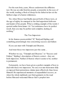For the next forty years, Moses underwent the affliction test. He was an exile fromhis people, a nonentity in the eyes of the world, tending a flock of sheep for his father-in-law on the farthest edge of a barren wilderness.

Yet, when Moses had finally passed both of these tests, at the age of eighty he emerged as the God-appointed deliverer and leader of his people. What a striking example of the words I quoted earlier fromJames 1:4: "Let endurance have its perfect result, that you may be perfect and complete, lacking in nothing."

### The Two Impostors

In his famous poementitled "If," Rudyard Kipling said something penetratingly true concerning success and failure:

If you can meet with Triumph and Disaster,

And treat those two impostors just the same…

Whether we say, "Triumph and Disaster," or "Success and Failure," Kipling's description of themis correct—they are both impostors. Neither of themis what it seems to be; neither is permanent.

Fortunately, we have been given a perfect example of how to deal with these two impostors. No one ever met themmore fully or exposed their pretentious claims more effectively than Jesus Himself. He experienced moments of unparalleled success, as when the whole multitude cast their garments in the road before Himand welcomed Himas God's prophet into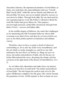Jerusalem. Likewise, He experienced moments of total failure, as when, one week later, the same multitude cried out, "Crucify Him! Crucify Him!" while His closest friends and followers all forsook Him. Yet Jesus was never unduly elated by success or cast down by failure. Through both alike, He was motivated by one supreme purpose: to do His Father's will and to finish the work His Father had given Himto do. This purpose, unswervingly pursued, carried Himvictoriously through both kinds of tests—success and failure alike.

In the twelfth chapter of Hebrews, the writer first challenged us by mentioning the Old Testament believers whose faith overcame every kind of test, and then he set Jesus before our eyes as the final, perfect pattern of endurance and ultimate victory:

Therefore, since we have so great a cloud of witnesses surrounding us, let us also lay aside every encumbrance, and the sin which so easily entangles us, and let us run with endurance the race that is set before us, fixing our eyes on Jesus, the author and perfecter of faith, who for the joy set before Himendured the cross, despising the shame, and has sat down at the right hand of the throne of God.(Hebrews 12:1– 2)

As we follow this exhortation and make Jesus our pattern, we discover that He is in truth both "the author and perfecter of [our] faith." He who began the work in each of us by His grace will likewise complete it by His grace. His victory became the guarantee of ours. All He requires is that we keep our eyes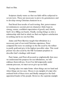fixed on Him.

#### Summary

Scripture clearly warns us that our faith will be subjected to severe tests. These are necessary to prove its genuineness and to develop strong Christian character in us.

Paul listed four results of such testing: first, perseverance (or endurance); second, proven character; third, hope (a strong, serene, confident expectation of good); and, fourth, God's love filling our hearts. Finally, testing brings us into a relationship with God in which we find our highest satisfaction in nothing and in no one but Him.

James and Peter likewise taught that tribulation is a necessary part of our total Christian experience. Peter compared the tests we undergo to the fire used by the refiner to purify gold and give it the highest possible value. This word picture was also used by the Old Testament prophets to describe God's dealings with Israel.

Paul, James, and Peter all assured us emphatically that once we understand the purpose for our tribulations, we will embrace themwith joy. Even if we fail temporarily under extreme pressure, we must never give up our faith.

Testing takes two main forms: when things are too hard and when things are too easy. Moses is an example of a man who endured both of these tests and finally emerged as the Godappointed leader of his people. However, the supreme example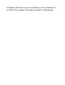of dealing with both success and failure is Jesus Himself. As we follow His example, He brings our faith to full maturity.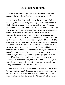# **The Measure of Faith**

A practicalstudy of the Christian's faith must take into account the teaching of Paul on "the measure of faith":

I urge you therefore, brethren, by the mercies of God, to present your bodies a living and holy sacrifice, acceptable to God, which is your spiritual [or, logical] service of worship. And do not be conformed to this world, but be transformed by the renewing of your mind, that you may prove what the will of God is, that which is good and acceptable and perfect. For through the grace given to me I say to every man among you not to think more highly of himself than he ought to think; but to think so as to have sound judgment, as God has allotted to each a measure of faith. For just as we have many members in one body and all the members do not have the same function, so we, who are many, are one body in Christ, and individually members one of another. And since we have gifts that differ according to the grace given to us, let each exercise them accordingly: if prophecy, according to the proportion of his faith; if service, in his serving; or he who teaches, in his teaching; or he who exhorts, in his exhortation; he who gives, with liberality; he who leads, with diligence; he who shows mercy, with cheerfulness.(Romans 12:1–8)

Paul opened the twelfth chapter of Romans with the words, "I urge you therefore." Someone has remarked that when we come across a "therefore" in the Bible, we need to find out what it is there for! In this case, the "therefore" refers back to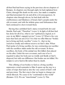all that Paul had been saying in the previous eleven chapters of Romans. In chapters one through eight, he had explained how Christ, through His death on the cross, has made a complete and final atonement for sin and all its evil consequences. In chapters nine through eleven, he had dealt with the stubbornness and blindness of Israel, God's people under the old covenant, and with the infinite grace and forbearance that God continued to show toward them.

Having thus unfolded God's mercy toward both Jew and Gentile, Paulsaid, "Therefore" (verse 1). In light of all that God has done for all of us, what is our "spiritual [or, logical, as it says in my Bible's margin] service" (verse 1)? What is the very least that God can ask of us? It is that we offer Himour "bodies [as] a living and holy sacrifice" (verse 1)—that we lay ourselves totally and without reserve on God's altar. When Paulspoke of a living sacrifice, he was contrasting our sacrifice with the sacrifices made under the old covenant. In those sacrifices, the body of the animal was first killed, then placed on the altar. Under the new covenant, each one of us is required to place his body just as totally and finally at God's disposal, but with one difference: Our bodies are not killed. We remain to serve God in life rather than by death.

This offering of our bodies to God as a living sacrifice represents a totalsurrender to Him. It opens up the way to a series of steps that lead us into the very center of God's will and provision. The first step is that we begin to change our whole lifestyle. We cease to be "conformed to this world" (Romans 12:2). We are "transformed" (verse 2). This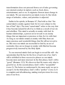transformation does not proceed froma set of rules governing our external conduct in matters such as food, dress, entertainment, and so on. It originates froman inner change in our minds. We are renewed in our minds (verse 2). Our whole range of attitudes, values, and priorities is adjusted.

Earlier in his epistle, in Romans 8:7, Paul told us that "the carnal mind is enmity against God: for it is not subject to the law of God" (kjv). The term"carnal mind" refers to the way that it has become natural for all of us to think as a result of our sin and rebellion. This mind is actually at enmity with God. In human relationships, a person never reveals to an enemy things that are important or precious to him. So it is with God. As long as our minds remain at enmity with Him, there are many precious and wonderful things that He will not reveal to us. But once our minds are reconciled to God by an act of surrender, they are no longer at enmity with Himbut become progressively renewed by the Holy Spirit.

To our renewed minds God can begin to reveal His will—the special plan that He has for the lives of each one of us. God's will is unfolded in three successive phases as our minds become more and more renewed. In the first phase, God's will is "good" (Romans 12:2). We discover that He wants only what is good for us. In the second phase, God's will is "acceptable" (verse 2). The better we understand it, the more ready we are to accept it. In the third phase, God's will is "perfect" (verse 2). It is complete and all-embracing, making total provision for every area of our lives.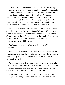With our minds thus renewed, we do not "think more highly" of [ourselves] than [we] ought to think" (verse 3). We cease to be proud, self-seeking, and self-assertive. We no longer are open to flights of fancy and self-deception. We become sober and realistic; we cultivate "sound judgment" (verse 3). We begin to assimilate the mind of Jesus, who said to the Father, "Not My will, but Thine be done" (Luke 22:42). God's plans and purposes are now more important than our own.

This leads us to the next discovery: God has given to each one of us a specific "measure of faith" (Romans 12:3). It is not for us to determine how much faith we should have. God has already measured this for us and allotted to each of us just the amount that we need. But what standard does God use to measure how much faith we need?

Paul's answer was to explain how the body of Christ functions:

For just as we have many members in one body and all the members do not have the same function, so we, who are many, are one body in Christ, and individually members one of another.(verses 4–5)

As Christians, together we make up one complete body. In this body, each one of us is a particular member, with a specific place and a specific function. One is a nose, another is an ear. One is a hand, and another is a foot, and so on.

In 1 Corinthians 12:12–28, Paul dealt more fully with the concept of the body and its members. He said that it is God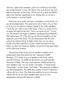who has "placed the members, each one of them, in the body. just as He desired" (verse 18). None of us can choose his own place or function in the body. All we can do is find and fill the place that God has appointed to us. Doing this, as we have seen, requires a renewed mind.

Paul went on to point out that, as members of one body, we are all interdependent. We need each other. None of us is free to do just as he pleases without regard to the other members. "And the eye cannot say to the hand, 'I have no need of you'; or again the head to the feet, 'I have no need of you'" (verse 21). The head is the highest member, typifying Christ Himself. (See Ephesians 4:15.) The feet are the lowest members, at the opposite end of the body. Yet the head needs the feet and cannot do without them. In light of this fact, we see more clearly why Paulsaid that, in order to find our places in the body, we must not think too highly of ourselves but must learn to be sober and realistic.

The picture of the body and its members enables us to understand what Paul meant by the "measure of faith" (Romans 12:3). Each of us is a member in the body with a specific function. To fulfill our functions, we need specific measures of faith. The types and amount of faith needed by each member vary. An eye needs "eye faith." A hand needs "hand faith." A foot needs "foot faith." This measure of faith is not interchangeable. The faith that enables a hand to function will not do for a foot. The faith that enables an eye to function will not do for an ear. Each member must have its own appropriate and specific measure of faith.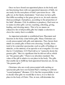Once we have found our appointed places in the body and are functioning there with our appointed measures of faith, we are ready for the next phase of God's provision for us—His gifts (or, in the Greek, charismata). "And since we have gifts that differ according to the grace given to us, let each exercise themaccordingly: if prophecy, according to the proportion of his faith" (Romans 12:6). In addition to prophecy, Paul went on to name sixother gifts:service, teaching, exhorting, giving, leading, and showing mercy. This is by no means an exhaustive list of all possible gifts but simply a selection to show the variety that is available.

An important principle is established here: Placement and function in the body come before gifts. Many Christians are overly preoccupied with gifts and ministries. They fasten their minds on certain gifts of their own choosing. Usually, these tend to be somewhat spectacular, such as gifts of healings or miracles, or the ministry of an apostle or an evangelist. It is true that in 1 Corinthians 12:31 Paul told us to "earnestly desire the greater gifts." But it is significant that he did not tell us which are "the greater gifts." There is no absolute standard. The value of the gift is relative to our place in the body. The gifts that enable me to fulfill my God-appointed function are, for me, "the greater gifts."

Christians who are overly preoccupied with exciting or spectacular gifts have not heeded Paul's warning to cultivate "sound judgment" (Romans 12:3). Our first responsibility is not to decide what gifts we would like to have; it is to find our place in the body of Christ. This, in turn, will determine the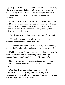type of gifts we will need in order to function there effectively. Experience indicates that once a Christian has settled the question of place and function, the needed gifts come into operation almost spontaneously, without undue effort or striving.

We may now summarize Paul's teaching in Romans 12:1–8. God has shown unfathomable grace and mercy to each of us through Christ. In order to fulfill our logical response to such grace and mercy, it is necessary that we go through the following successive steps:

1.We first present our bodies as a living sacrifice to God.

2.Through this act of surrender, our minds become progressively renewed by the Holy Spirit.

3.As the outward expression of this change in our minds, our whole lifestyle begins to change—we are transformed!

4.With our renewed minds, we are able to find out the will of God for our lives on three ascending levels: first, "good"; second, "acceptable"; third, "perfect" (Romans 12:2).

5.God's will, proved in experience, fits us into our appointed places as members in the body and enables us to function there.

6.We thus discover that God has given to each of us a measure of faith, exactly proportioned to our places and functions in the body. He gives a person "ear faith" if he is an ear, and "eye faith" if he is an eye.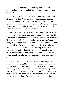7.As we function in our appointed places with our appointed measures of faith, the gifts that we need come into operation.

In chapter sixof this book, we examined Paul's statement in Romans 10:17 that "faith cometh by hearing, and hearing by the word of God" (kjv). How does this truth relate to Paul's teaching in Romans 12:3–5 that God has allotted to each of us a specific measure of faith, directly related to our appointed places and functions in the body of Christ?

The answer, I believe, is this: Hearing serves a Christian in the same way that radar serves an airplane. The more sensitive we become to the radar of God's rhema—the special word that He speaks to each of us personally—the more surely and easily we will be guided to our appointed places and functions in the body of Christ. Finding our places is like the airplane landing accurately on the runway. Hearing is the radar that brings us in exactly where God wants us. Thereafter, as we continue to hear each new rhema that comes to us fromGod, we are enabled to stay in our places and to function there effectively.

The fact that God has allotted to each of us a specific measure of faith should not be taken to imply that our faith remains static. On the contrary, as our ability to function effectively in the body grows, our faith grows in proportion. More effective function requires increased faith. Conversely, increased faith produces more effective function. However, there is always a fixed relationship between faith and function.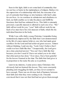Seen in this light, faith is not some kind of commodity that we can buy or barter in the marketplaces of religion. Rather, it is the expression of a relationship with God, the outcome of an act of surrender that brings us into harmony with God's plan for our lives. As we continue in submission and obedience to God, our faith enables us to take the places and fulfill the functions that God has ordained for us. This faith is extremely personal; a specific measure is allotted to each one of us. "My" faith will not work for you; "your" faith will not work for me. Each of us must have his own measure of faith, which fits his individual function in the body.

While I was still a fairly young Christian, I remember being tremendously impressed by the faith that I saw demonstrated in the life of a more mature believer, one who had made great sacrifices for the Lord and had achieved great success. Almost without thinking, I said one day, "Lord, I don't believe that I could ever have faith like that." Unexpectedly, the Lord gave me a clear, practical answer: "You can't have faith like that because you don't need it! I have not asked you to do what that other person has done." Ever since, I have been grateful for the lesson I learned at the time: The faith that God gives is in proportion to the tasks He asks us to perform.

Later in my ministry, I came across many Christians who obviously had not learned this lesson. They were constantly pleading and struggling for faith, yet they never seemed to have enough. There was an obvious lack of harmony between their faith and what they were seeking to do. I became convinced that it was not that God had not given themenough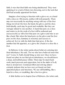faith; it was that their faith was being misdirected. They were applying it to a task of their own choosing, not to the task that God had actually appointed for them.

Imagine a foot trying to function with a glove on, or a hand with a shoe on. Obviously, neither will work properly. There may not necessarily be anything wrong with any of the four things involved: the foot, the hand, the glove, and the shoe. Individually, each may be good and workable. But they are wrongly related to one another. A hand that puts on a shoe and wants to do the work of a foot will be awkward and unsuccessful, as will a foot that puts on a glove and tries to act like a hand. But when the hand puts on the glove and the foot puts on the shoe, harmony is restored, and success is achieved. So it is with the faith that God gives. It fits the member that He appoints, as a glove fits a hand or a shoe fits a foot.

In Hebrews 4, the writer spoke about believers entering into their inheritance. He said, "For we who have believed enter that rest" (verse 3). Faith should bring us into rest. Once we have found our place in our God-given inheritance, we should know a deep, untroubled peace within. There may be much hard work, much pressure and opposition, but in the midst of it all, there is inward rest. Continual effort and striving almost certainly indicate that we have not yet found our Godappointed places and functions. We are still fumbling, like a hand in a shoe, or stumbling, like a foot in a glove.

A little further on in chapter four of Hebrews, the writer said,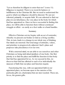"Let us therefore be diligent to enter that rest" (verse 11). Diligence is required. There is no roomfor laziness or indifference in the Christian life. But we need to understand the goal to which our diligence should be directed. We are not exhorted, primarily, to acquire faith. We are exhorted to find our place in our inheritance, the very place in the body for which God has appointed us. Once we have succeeded in finding this place, we will be able to function there without continued struggle or effort—as easily as a foot walks or a hand handles.

#### Summary

Effective Christian service begins with an act of surrender, whereby we present our bodies to God as a living sacrifice. This, in turn, leads to a change in our whole way of thinking. Our minds are renewed. Our total range of attitudes, values, and priorities is progressively adjusted. God's plans and purposes take precedence over our own.

With a renewed mind, we are able to see ourselves and other Christians as being individual members of one body. Our first priority is to find the place and fulfill the function in that body that God has appointed for us. As we succeed in this, we discover that God has allotted to each of us individually the measure of faith that our place and function require.

Functioning this way, with our appointed faith in our appointed place, we become open to the exercise of the particular gifts (or, charismata) that are most needed. These are, for us, the greater gifts.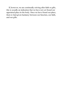If, however, we are continually striving after faith or gifts, this is usually an indication that we have not yet found our appointed place in the body. Once we have found our place, there is God-given harmony between our function, our faith, and our gifts.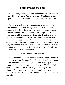# **Faith Undoes the Fall**

In this closing chapter, we will approach the subject of faith fromstill another angle. We willsee that biblical faith, as God imparts it and as it works in our lives, undoes the effects of the fall.

Scripture reveals that man was created in perfection but fell fromthat condition by a transgression, for which he was accountable to God. However, God was not content to leave man in his fallen condition. Rather, fromthat point onward, Scripture unfolds a magnificent theme of redemption. It is the story of how God buys man back for Himself by the death of Christ on the cross and how He works out man's restoration, changing his nature and his ways to bring himback into God's original purpose. The key to this process of restoration is faith. In other words, the redemptive effect of exercising faith is that of reversing the results of the fall.

## Faith, Speech, and Creativity

To understand how faith reverses the fall, we must consider the nature of man, the steps that led to his fall, and the essence of the temptation to which he yielded. The original picture of man as God created himis found in Genesis 1:26: "Then God said, 'Let Us make man in Our image, according to Our likeness.'" As we follow this theme through Scripture, we discover that the "likeness" between God and man has various aspects.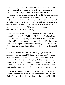In this chapter, we will concentrate on one aspect of the divine nature. It is seldommentioned, but it is extremely significant. This aspect of God's nature, which has its counterpart in the nature of man, is the ability to exercise faith. As I mentioned briefly earlier in this book, faith is a part of God's own eternal nature. His creative ability proceeds out of His faith. All that He does, He does by faith. Furthermore, His faith finds its expression in the words that He speaks. His words are the channels of His faith and are therefore the instruments of His creative ability.

The effective power of God's faith in His own words is forcefully expressed in Ezekiel 12:25. Here the Lord declared, "For I the Lord shallspeak, and whatever word I speak will be performed." The introductory words "I the Lord" indicate that what follows is part of the eternal, unchanging nature of God. When God says something, it happens. Such is His faith in His own words.

There is a feature of the Hebrew language that vividly illustrates this fact about God and His words. Old Testament Hebrew contains one word, dabar, that can be translated equally well as "word" or "thing." Only the context indicates which translation is preferable. Often both are implied. This helps us to understand that God's words are things. When God speaks a word with His faith, that word becomes a thing.

Earlier, in chapter sixof this book, we saw that the same is also true of the Greek word rhema, used in the New Testament. God's rhema—His spoken word proceeding out of His faith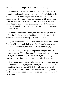contains within it the power to fulfill whatever is spoken.

In Hebrews 11:3, we are told that the whole universe was brought into being by the creative power of God's faith in His own words: "By faith we perceive that the universe was fashioned by the word of God, so that the visible came forth fromthe invisible" (neb). Behind the entire visible universe, faith discerns one supreme originating cause that is invisible the word of God. Thus human faith recognizes the outworking of divine faith.

In chapter three of this book, dealing with the gift of faith, I referred to Psalm33, where David graphically depicted this process of creation by the spoken word of God:

By the word of the Lord the heavens were made, and by the breath of His mouth all their host....For He spoke, and it was done; He commanded, and it stood fast.(Psalm33:6, 9)

In Genesis 1:3, we are given a specific example of how this process worked: "Then God said, 'Let there be light'; and there was light." When God spoke the word "light," the thing "light" was manifested. God's spoken word came forth as a thing.

Thus we arrive at three conclusions about faith that help us to understand its unique power and importance. First, faith is part of the eternal nature of God. Second, faith is the creative power by which God brought the universe into being. Third, God's faith is expressed and made effective by the words that He speaks.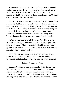Because God created man with the ability to exercise faith, we find also in man the other two abilities that are related to faith: the ability to create and the ability to speak. It is significant that both of these abilities man shares with God also distinguish man fromthe animals.

By his very nature, man has creative ability. He can envision something that has never actually existed; then he can plan it and bring it into being. This distinguishes himfromall known animals. A bird, for example, can build a marvelously complex nest, but it does so by instinct. A bird cannot envision something that has never existed, plan it, and bring it into being. Man can. In this sense, man is continually creating.

Linked to man's creative ability is man's ability to speak. Without this ability, man would never be able to express his creative purposes. Man's capacity for intelligent, articulate speech is not shared by any known animals. It is a distinctive aspect of man's likeness to God.

Fromthis, we see that man, as originally created, shares three related aspects of God's own nature: the ability to exercise faith, the ability to create, and the ability to speak.

#### Satan's Assault on Faith

Because God has shared with man His ability to exercise faith, He requires himto use it. Consequently, when God created man, He placed himin a situation where faith was needed. Scripture makes it clear that God, as a person, did not remain permanently present with Adamin the garden. Instead,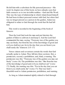He left himwith a substitute for His personal presence—His word. In chapter one of this book, we have already seen that faith connects us to two invisible realities—God and His Word. This was the type of relationship in which Adamfound himself. He had been in direct personal contact with God, but when God was no longer present as a person in the garden, Adamwas obligated to relate to God through the word that He had left him.

This word is recorded in the beginning of the book of Genesis:

Then the Lord God took the man and put himinto the garden of Eden to cultivate it and keep it. And the Lord God commanded the man, saying, "Fromany tree of the garden you may eat freely; but fromthe tree of the knowledge of good and evil you shall not eat, for in the day that you eat fromit you shallsurely die."(Genesis 2:15–17)

Verses sixteen and seventeen contain the words that God actually spoke to Adam. They fall into three sections: first, a permission; second, a prohibition; and, third, a warning. The permission was this: "Fromany tree of the garden you may eat freely" (verse 16). The prohibition was this: "But fromthe tree of the knowledge of good and evil you shall not eat" (verse 17). Finally, the warning was this: "For in the day that you eat fromit you shallsurely die" (verse 17). That was God's threefold word to Adam: permission, prohibition, and warning.

As long as Adamremained rightly related to God through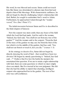His word, he was blessed and secure. Satan could not touch him. But Satan was determined to alienate man fromGod and deprive himof His blessings. With characteristic craftiness, he did not begin by directly challenging Adam's relationship with God. Rather, he sought to undermine God's word to Adam. Furthermore, he approached Adamthrough the "weaker vessel," Eve. (See 1 Peter 3:7.)

The initial encounter between Satan and Eve is described in the third chapter of Genesis:

Now the serpent was more crafty than any beast of the field which the Lord God had made. And he said to the woman, "Indeed, has God said, 'You shall not eat fromany tree of the garden'?" And the woman said to the serpent, "Fromthe fruit of the trees of the garden we may eat; but fromthe fruit of the tree which is in the middle of the garden, God has said, 'You shall not eat fromit or touch it, lest you die.'" (verses 1–3)

In his strategy to deceive Eve, Satan did not begin by directly denying the word of God—that would have been too obvious! He began by merely questioning it. "Indeed, has God said . ?" I believe that Eve lost the battle the moment she entertained that question. If we are to retain a right relationship with God, there are some questions to which we must simply close our minds. But Eve trusted in her own judgment. She felt that she had the ability to match that charming, intelligent serpent who approached her in the garden. The root of her error was self-confidence.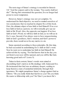The next stage of Satan's strategy is recorded in Genesis 3:4: "And the serpent said to the woman, 'You surely shall not die!'" Having first entertained the question, Eve no longer had power to resist temptation.

However, Satan's strategy was not yet complete. To understand his final objective, we need to remind ourselves of two conclusions that we reached in chapter five of this book. First, the ultimate object of true faith is God Himself. If we ever lose faith in God as a person, we will eventually give up our faith in His Word. Also, the opposite can happen: If we lose faith in God's Word, we will lose faith in God, as we will see in Eve's case. Second, if we always were to have unquestioning faith in God's goodness, God's wisdom, and God's power to provide, there would never be any motive to sin.

Satan operated according to these principles. By this time, he had succeeded in undermining Eve's faith in God's word. Now he went on to undermine her faith in God Himself. He achieved this by saying, "For God knows that in the day you eat fromit your eyes will be opened, and you will be like God, knowing good and evil" (verse 5).

Taken in their context, Satan's words were aimed at discrediting God's motives in His dealings with Adamand Eve. He insinuated that God was an arbitrary despot, seeking to keep themin a state of unmerited inferiority through their ignorance. We might paraphrase Satan's charge against God as follows: "Do you really think that God loves you? Do you think He wants to fellowship with you? No! Don't you know He's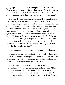just got you in this garden to keep you under His control? You're really not much better off than slaves. Now, if you were to eat of that tree, things would be different! You wouldn't have to depend on God any longer; you'd be just like God."

This was the final persuasion that broke Eve's relationship with God. She had already given up her confidence in God's word. Now she gave up her confidence in God Himself. Instead of seeing, all around her, the visible evidence of the love and goodness of the God whomshe could not see, she began to accept Satan's dark, cynical picture of God as an arbitrary tyrant whose purpose was to keep her and her husband in a state of inferiority, far below their real potential. She believed Satan's lie that, through eating fromthe forbidden tree, their innate potential for equality with God would be instantly released! She reasoned, "Could there be any higher motive than the desire to be like God?"

Eve's capitulation is recorded in chapter three of Genesis:

When the woman saw that the tree was good for food, and that it was a delight to the eyes, and that the tree was desirable to make one wise, she took fromits fruit and ate; and she gave also to her husband with her, and he ate. (verse 6)

The key word here is "saw." Eve "saw that the tree.…" The word indicates a transition from one realm to another. At this point, Eve abandoned her faith in the invisible realmof God and His word. Instead, she was moved by what she saw. She began to rely on her physicalsenses. She came down fromthe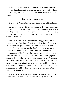realmof faith to the realmof the senses. In this lower realm, the tree had three features that attracted her: it was good for food; it was a delight to the eyes; and it was desirable to make one wise.

## The Nature of Temptation

The apostle John listed the three basic forms of temptation:

Do not love the world, nor the things in the world. If anyone loves the world, the love of the Father is not in him. For all that is in the world, the lust of the flesh and the lust of the eyes and the boastful pride of life, is not fromthe Father, but is fromthe world. (1 John 2:15–16)

The sensual world, in God's terminology, is made up of three elements: "the lust of the flesh and the lust of the eyes and the boastful pride of life." In Scripture, the word lust usually denotes a strong desire that has become perverted and harmful and that does not submit to God's standards of righteousness. The first two forms of temptation, listed here by John, are lustful desires that affect man through his physical senses. The third formof temptation appeals to man's ego, or soul. The "boastful pride of life" is that inner urge in man that refuses to acknowledge his dependence on God but seeks to exalt himself. It finds expression in such statements as, "I can manage my own life. I don't need to depend on God. Why should I be inferior?"

When Jesus was in the wilderness, He was confronted by Satan with each of these three temptations. (See Luke 4:1–13.)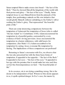Satan tempted Himto make stones into bread—"the lust of the flesh." Then he showed Himall the kingdoms of the world with their power and glory—"the lust of the eyes." Finally, Satan tempted Jesus to cast Himself down fromthe pinnacle of the temple, thus performing a miracle on His own initiative that would glorify Himself, without submitting to the Father's will or seeking the Father's glory. That represented "the boastful pride of life."

There are some interesting comparisons between the temptation of Adamand the temptation of Jesus (who is called "the last Adam" in 1 Corinthians 15:45). Adamencountered his temptation in a beautiful garden, surrounded by every evidence of God's loving provision. Jesus encountered His temptation in a barren wilderness, with wild beasts for companions. (See Mark 1:13.) Adamsuccumbed to his temptation by eating; Jesus overcame His temptation by fasting. The implications of these comparisons are profound!

Returning to Satan's encounter with Eve, we observe that the tree also presented her with the three basic forms of temptation. It appealed to her appetite—"the lust of the flesh." It appealed to her eyes—"the lust of the eyes." It appealed to her ego with the promise that it would make her wise and thus set her free fromdependence on God—"the boastful pride of life."

In its essence, sin is not doing something wrong. Sin is the desire to be independent of God. Whenever this desire appears in us, it spells spiritual danger. In Eve's case, the means by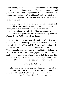which she hoped to achieve her independence was knowledge —the knowledge of good and evil. This is one means by which people commonly seek independence fromGod. Other ways are wealth, fame, and power. One of the subtlest ways of all is religion. We can become so religious that we think that we no longer need God.

Motivated by her desire for independence, Eve transferred her confidence fromGod's word to her own senses. As a result, she quickly succumbed to the tree's threefold temptation and partook of its fruit. Then she enticed her husband into doing the same, and both of themtogether were alienated fromGod by their disobedience.

In light of the foregoing analysis of Genesis 3:1–6, we are now in a position to sumup the nature of temptation. Faith in the invisible realmof God and His Word is both original and natural for man; unbelief is perverted and unnatural. Temptation alienates man fromhis natural faith in God and His Word. It entices man through his physical senses. Traced to its roots, every temptation is a temptation to disbelieve God. The motive that it exploits is the desire to be independent of God. The result that it produces is disobedience against God.

### Faith Is the Antidote

Faith works in exactly the opposite direction of temptation. Faith requires man to renounce both his confidence in his senses and his egotistical ambition to exalt himself in independence fromGod. In addition, faith reasserts the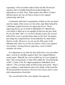supremacy of the invisible realmof God and His Word and requires man to humble himself and acknowledge his dependence on God. Thus, faith undoes the effects of man's fall and opens the way for himto return to his original relationship with God.

Confronted with God's requirement of faith on the one hand and the claims of his senses on the other, man finds himself in a dilemma, caught between two opposing forces. These opposing forces are set forth in Habakkuk 2:4: "Behold, his soul which is lifted up is not upright in him: but the just shall live by his faith" (kjv). As we have already noted, the second half of this verse is quoted three times in the New Testament. providing the scriptural basis for justification by faith rather than by works. However, we can see the fullscope of the dilemma only when we set the two halves of the verse against one another, viewing themas opposites, each of which excludes the other.

It is important to see that the first half of the verse describes man's soul in its rebellion against God. The original Hebrew words mean, "Behold, his soul is puffed up; it is not upright in him." This corresponds to what John called the "boastful pride" of life" (1 John 2:16). We might paraphrase Habakkuk 2:4 as follows: "The soul that exalts itself becomes perverted." Man's ego, seeking to exalt himself, rejects the claims of God and His Word and prefers instead to trust his own senses and to strive after independence fromGod.

The second half of the verse depicts the opposite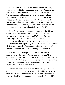alternative. The man who makes faith his basis for living humbles himself before God, accepting God's Word as his standard and rejecting confidence in himself and his senses. The senses appeal to man's independent, self-exalting ego, but faith humbles man's ego, saying, in effect, "You are not independent. You must depend on God. You can trust your senses only when they agree with God's Word. Your final standard of right and wrong, or truth and error, is not what your senses tell you but what God says in His Word."

Thus, faith cuts away the ground on which the fall took place. The fall made man captive to the sense realm: "The woman saw that the tree was good" (Genesis 3:6). It exalted man's ego: "You will be like God" (verse 5). All that selfexaltation must be undone if we are to live the life of righteousness that is pleasing to God. How is it to be undone? By the faith principle. Faith rejects both the dominion of the senses and the boastful, self-exalting pride of the soul.

In Romans 3:27, Paul pointed out that true faith is incompatible with pride: "Where then is boasting? It is excluded. By what kind of law? Of works? No, but by a law of faith." Any kind of religious feeling or activity that leaves room for man's independent, self-exalting egotismis not the expression of valid, scriptural faith.

So there are two ways of living. Man can reject the idea of dependence on God and trust in himself and his senses. Or man can renounce confidence in himself and his senses and trust in what his senses cannot comprehend—God and His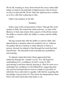Word. By weaning us away fromself and the sense realm, faith brings us back to the principle of righteousness that is based on trust in God and His Word. Only this righteousness enables us to live a life that is pleasing to God.

Faith is the antidote to the fall.

#### Summary

Faith is part of the eternal nature of God. Through His word, spoken in faith, He created the entire universe. As part of his likeness to God, man shares three aspects of the divine nature: the ability to exercise faith, the ability to create, and the ability to speak.

Having created man with the ability to exercise faith, God placed himin a situation where he needed to do so. Adamin the garden did not continue to relate directly to God as a person. Instead, he related to God through the word that God had left him—the threefold word of permission, prohibition, and warning.

To alienate AdamfromGod, Satan approached him indirectly through the "weaker vessel," Eve. He began by undermining Eve's confidence in God's word, by first questioning it and then directly denying it. Then he went on to undermine her confidence in God Himself by suggesting that she and her husband did not need to remain in a position of inferiority but could achieve equality with God by acquiring the knowledge of good and evil. This desire for independence from God is the inner motivation that leads to sin.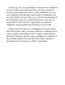In this way, Eve was persuaded to renounce her confidence in the invisible realmof God and His word. She came down instead to the realmof the senses. In the forbidden tree, she was confronted with the three basic forms of temptation: the lust of the flesh, the lust of the eyes, and the boastful pride of life. Operating in the lower realmof the senses, Eve was no longer able to resist the tree's appeal but succumbed to temptation and persuaded her husband to do the same.

Faith reverses the process of temptation that led to man's fall. Faith requires man to renounce both his confidence in his senses and his self-exalting desire to achieve independence fromGod. Faith also requires man to reaffirmhis confidence in the invisible realmof God and His Word. Man's destiny is determined by his response to faith's requirement.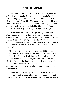## **About the Author**

Derek Prince (1915–2003) was born in Bangalore, India, into a British military family. He was educated as a scholar of classical languages (Greek, Latin, Hebrew, and Aramaic) at Eton College and Cambridge University in England and later at Hebrew University, Israel. As a student, he was a philosopher and self-proclaimed atheist. He held a fellowship in Ancient and Modern Philosophy at King's College, Cambridge.

While in the British Medical Corps during World War II, Prince began to study the Bible as a philosophical work. Converted through a powerful encounter with Jesus Christ, he was baptized in the Holy Spirit a few days later. This lifechanging experience altered the whole course of his life, which he thereafter devoted to studying and teaching the Bible as the Word of God.

Discharged fromthe army in Jerusalemin 1945, he married Lydia Christensen, founder of a children's home there. Upon their marriage, he immediately became father to Lydia's eight adopted daughters—sixJewish, one Palestinian Arab, one English. Together the family saw the rebirth of the state of Israel in 1948. In the late 1950s the Princes adopted another daughter while he was serving as principal of a college in Kenya.

In 1963, the Princes immigrated to the United States and pastored a church in Seattle. Stirred by the tragedy of John F. Kennedy's assassination, he began to teach Americans how to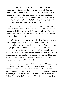intercede for their nation. In 1973, he became one of the founders of Intercessors for America. His book Shaping History through Prayer and Fasting has awakened Christians around the world to their responsibility to pray for their governments. Many consider underground translations of the book as instrumental in the fall of communist regimes in the USSR, East Germany, and Czechoslovakia.

Lydia Prince died in 1975, and Derek married Ruth Baker (a single mother to three adopted children) in 1978. He met his second wife, like his first, while he was serving the Lord in Jerusalem. Ruth died in December 1998 in Jerusalem, where they had lived since 1981.

Until a few years before his own death in 2003 at the age of eighty-eight, Prince persisted in the ministry God had called himto as he traveled the world, imparting God's revealed truth, praying for the sick and afflicted, and sharing his prophetic insights into world events in the light of Scripture. He wrote over forty-five books, which have been translated in over sixty languages and distributed worldwide. He pioneered teaching on such groundbreaking themes as generational curses, the biblical significance of Israel, and demonology.

Derek Prince Ministries, with its international headquarters in Charlotte, North Carolina, continues to distribute his teachings and to train missionaries, church leaders, and congregations through its worldwide branch offices. His radio program, Keys to Successful Living (now known as Derek Prince Legacy Radio), began in 1979 and has been translated